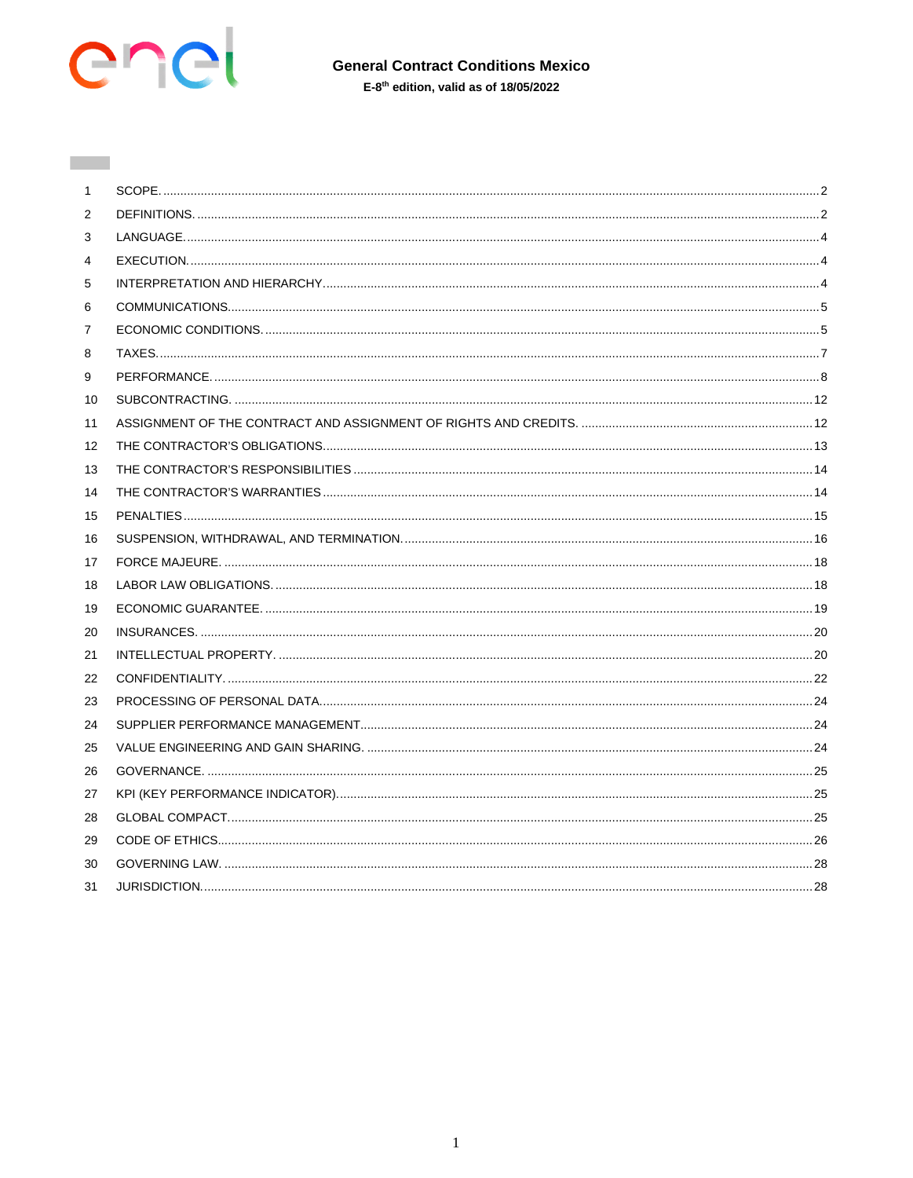

**Common** 

# **General Contract Conditions Mexico**

 $E-8<sup>th</sup>$  edition, valid as of 18/05/2022

| 1  |  |
|----|--|
| 2  |  |
| 3  |  |
| 4  |  |
| 5  |  |
| 6  |  |
| 7  |  |
| 8  |  |
| 9  |  |
| 10 |  |
| 11 |  |
| 12 |  |
| 13 |  |
| 14 |  |
| 15 |  |
| 16 |  |
| 17 |  |
| 18 |  |
| 19 |  |
| 20 |  |
| 21 |  |
| 22 |  |
| 23 |  |
| 24 |  |
| 25 |  |
| 26 |  |
| 27 |  |
| 28 |  |
| 29 |  |
| 30 |  |
| 31 |  |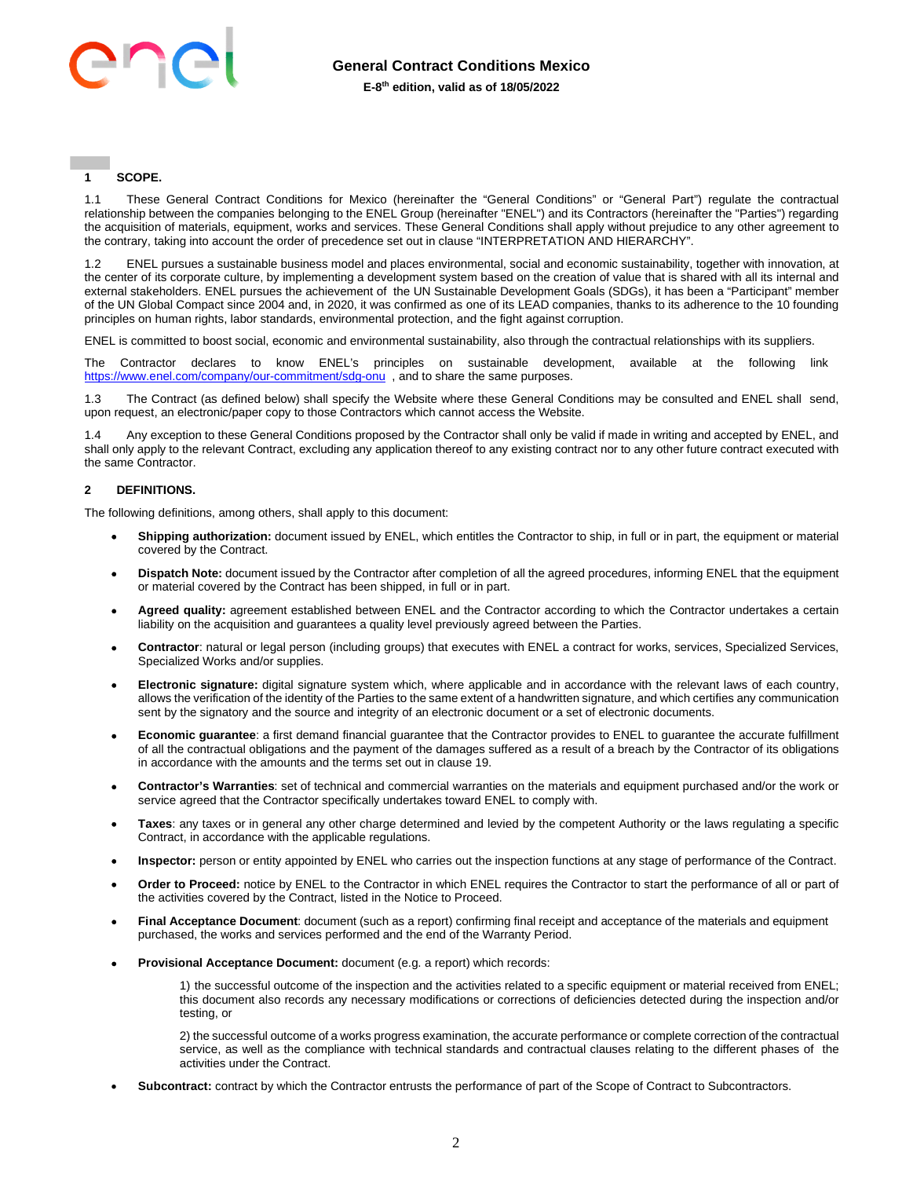

## <span id="page-1-0"></span>**1 SCOPE.**

1.1 These General Contract Conditions for Mexico (hereinafter the "General Conditions" or "General Part") regulate the contractual relationship between the companies belonging to the ENEL Group (hereinafter "ENEL") and its Contractors (hereinafter the "Parties") regarding the acquisition of materials, equipment, works and services. These General Conditions shall apply without prejudice to any other agreement to the contrary, taking into account the order of precedence set out in clause "INTERPRETATION AND HIERARCHY".

1.2 ENEL pursues a sustainable business model and places environmental, social and economic sustainability, together with innovation, at the center of its corporate culture, by implementing a development system based on the creation of value that is shared with all its internal and external stakeholders. ENEL pursues the achievement of the UN Sustainable Development Goals (SDGs), it has been a "Participant" member of the UN Global Compact since 2004 and, in 2020, it was confirmed as one of its LEAD companies, thanks to its adherence to the 10 founding principles on human rights, labor standards, environmental protection, and the fight against corruption.

ENEL is committed to boost social, economic and environmental sustainability, also through the contractual relationships with its suppliers.

The Contractor declares to know ENEL's principles on sustainable development, available at the following link <https://www.enel.com/company/our-commitment/sdg-onu>, and to share the same purposes.

1.3 The Contract (as defined below) shall specify the Website where these General Conditions may be consulted and ENEL shall send, upon request, an electronic/paper copy to those Contractors which cannot access the Website.

1.4 Any exception to these General Conditions proposed by the Contractor shall only be valid if made in writing and accepted by ENEL, and shall only apply to the relevant Contract, excluding any application thereof to any existing contract nor to any other future contract executed with the same Contractor.

#### <span id="page-1-1"></span>**2 DEFINITIONS.**

The following definitions, among others, shall apply to this document:

- **Shipping authorization:** document issued by ENEL, which entitles the Contractor to ship, in full or in part, the equipment or material covered by the Contract.
- **Dispatch Note:** document issued by the Contractor after completion of all the agreed procedures, informing ENEL that the equipment or material covered by the Contract has been shipped, in full or in part.
- **Agreed quality:** agreement established between ENEL and the Contractor according to which the Contractor undertakes a certain liability on the acquisition and guarantees a quality level previously agreed between the Parties.
- **Contractor**: natural or legal person (including groups) that executes with ENEL a contract for works, services, Specialized Services, Specialized Works and/or supplies.
- **Electronic signature:** digital signature system which, where applicable and in accordance with the relevant laws of each country, allows the verification of the identity of the Parties to the same extent of a handwritten signature, and which certifies any communication sent by the signatory and the source and integrity of an electronic document or a set of electronic documents.
- **Economic guarantee**: a first demand financial guarantee that the Contractor provides to ENEL to guarantee the accurate fulfillment of all the contractual obligations and the payment of the damages suffered as a result of a breach by the Contractor of its obligations in accordance with the amounts and the terms set out in clause 19.
- **Contractor's Warranties**: set of technical and commercial warranties on the materials and equipment purchased and/or the work or service agreed that the Contractor specifically undertakes toward ENEL to comply with.
- **Taxes**: any taxes or in general any other charge determined and levied by the competent Authority or the laws regulating a specific Contract, in accordance with the applicable regulations.
- **Inspector:** person or entity appointed by ENEL who carries out the inspection functions at any stage of performance of the Contract.
- **Order to Proceed:** notice by ENEL to the Contractor in which ENEL requires the Contractor to start the performance of all or part of the activities covered by the Contract, listed in the Notice to Proceed.
- **Final Acceptance Document**: document (such as a report) confirming final receipt and acceptance of the materials and equipment purchased, the works and services performed and the end of the Warranty Period.
- **Provisional Acceptance Document:** document (e.g. a report) which records:

1) the successful outcome of the inspection and the activities related to a specific equipment or material received from ENEL; this document also records any necessary modifications or corrections of deficiencies detected during the inspection and/or testing, or

2) the successful outcome of a works progress examination, the accurate performance or complete correction of the contractual service, as well as the compliance with technical standards and contractual clauses relating to the different phases of the activities under the Contract.

**Subcontract:** contract by which the Contractor entrusts the performance of part of the Scope of Contract to Subcontractors.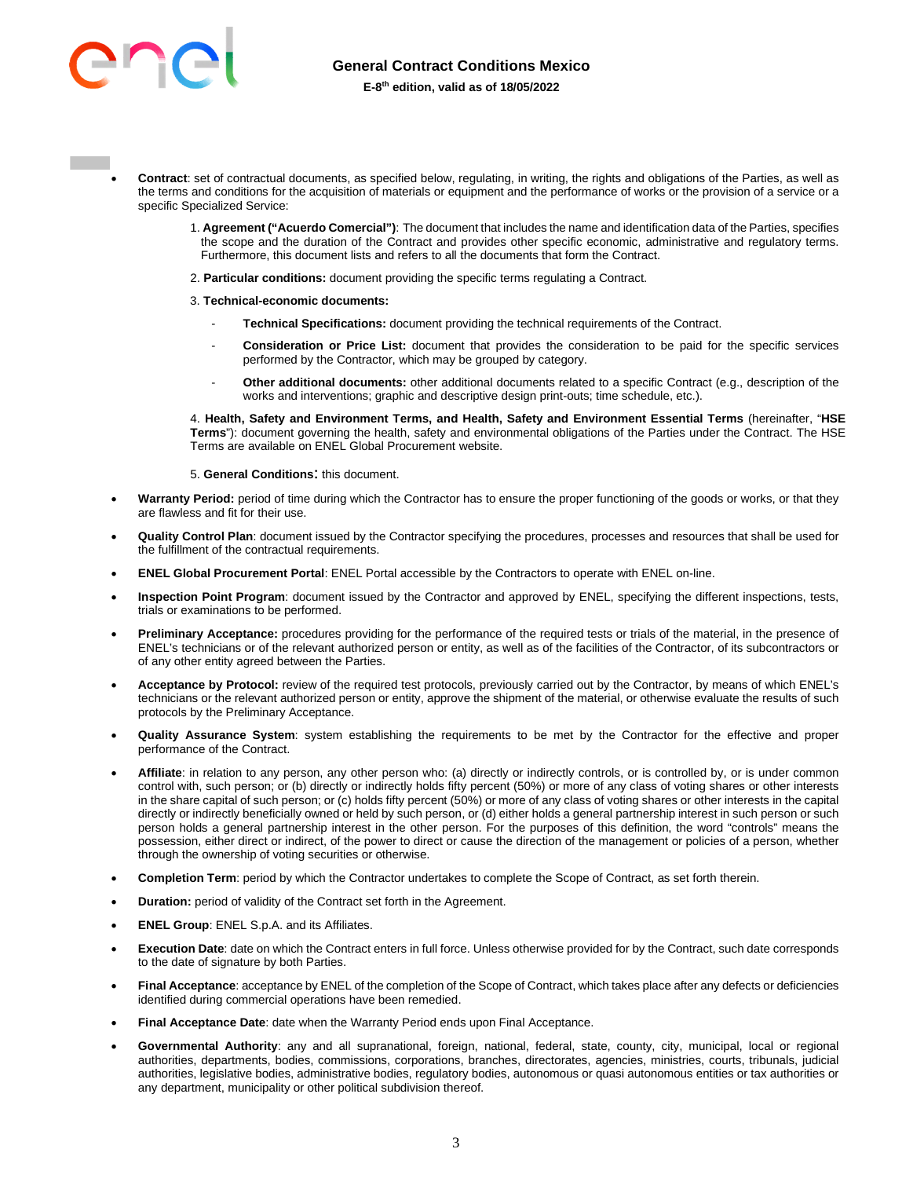

- **Contract**: set of contractual documents, as specified below, regulating, in writing, the rights and obligations of the Parties, as well as the terms and conditions for the acquisition of materials or equipment and the performance of works or the provision of a service or a specific Specialized Service:
	- 1. **Agreement ("Acuerdo Comercial")**: The document that includes the name and identification data of the Parties, specifies the scope and the duration of the Contract and provides other specific economic, administrative and regulatory terms. Furthermore, this document lists and refers to all the documents that form the Contract.
	- 2. **Particular conditions:** document providing the specific terms regulating a Contract.
	- 3. **Technical-economic documents:** 
		- Technical Specifications: document providing the technical requirements of the Contract.
		- **Consideration or Price List:** document that provides the consideration to be paid for the specific services performed by the Contractor, which may be grouped by category.
		- **Other additional documents:** other additional documents related to a specific Contract (e.g., description of the works and interventions; graphic and descriptive design print-outs; time schedule, etc.).

4. **Health, Safety and Environment Terms, and Health, Safety and Environment Essential Terms** (hereinafter, "**HSE Terms**"): document governing the health, safety and environmental obligations of the Parties under the Contract. The HSE Terms are available on ENEL Global Procurement website.

- 5. **General Conditions**: this document.
- Warranty Period: period of time during which the Contractor has to ensure the proper functioning of the goods or works, or that they are flawless and fit for their use.
- **Quality Control Plan**: document issued by the Contractor specifying the procedures, processes and resources that shall be used for the fulfillment of the contractual requirements.
- **ENEL Global Procurement Portal**: ENEL Portal accessible by the Contractors to operate with ENEL on-line.
- **Inspection Point Program**: document issued by the Contractor and approved by ENEL, specifying the different inspections, tests, trials or examinations to be performed.
- **Preliminary Acceptance:** procedures providing for the performance of the required tests or trials of the material, in the presence of ENEL's technicians or of the relevant authorized person or entity, as well as of the facilities of the Contractor, of its subcontractors or of any other entity agreed between the Parties.
- **Acceptance by Protocol:** review of the required test protocols, previously carried out by the Contractor, by means of which ENEL's technicians or the relevant authorized person or entity, approve the shipment of the material, or otherwise evaluate the results of such protocols by the Preliminary Acceptance.
- **Quality Assurance System**: system establishing the requirements to be met by the Contractor for the effective and proper performance of the Contract.
- **Affiliate**: in relation to any person, any other person who: (a) directly or indirectly controls, or is controlled by, or is under common control with, such person; or (b) directly or indirectly holds fifty percent (50%) or more of any class of voting shares or other interests in the share capital of such person; or (c) holds fifty percent (50%) or more of any class of voting shares or other interests in the capital directly or indirectly beneficially owned or held by such person, or (d) either holds a general partnership interest in such person or such person holds a general partnership interest in the other person. For the purposes of this definition, the word "controls" means the possession, either direct or indirect, of the power to direct or cause the direction of the management or policies of a person, whether through the ownership of voting securities or otherwise.
- **Completion Term**: period by which the Contractor undertakes to complete the Scope of Contract, as set forth therein.
- **Duration:** period of validity of the Contract set forth in the Agreement.
- **ENEL Group**: ENEL S.p.A. and its Affiliates.
- **Execution Date**: date on which the Contract enters in full force. Unless otherwise provided for by the Contract, such date corresponds to the date of signature by both Parties.
- **Final Acceptance**: acceptance by ENEL of the completion of the Scope of Contract, which takes place after any defects or deficiencies identified during commercial operations have been remedied.
- **Final Acceptance Date**: date when the Warranty Period ends upon Final Acceptance.
- **Governmental Authority**: any and all supranational, foreign, national, federal, state, county, city, municipal, local or regional authorities, departments, bodies, commissions, corporations, branches, directorates, agencies, ministries, courts, tribunals, judicial authorities, legislative bodies, administrative bodies, regulatory bodies, autonomous or quasi autonomous entities or tax authorities or any department, municipality or other political subdivision thereof.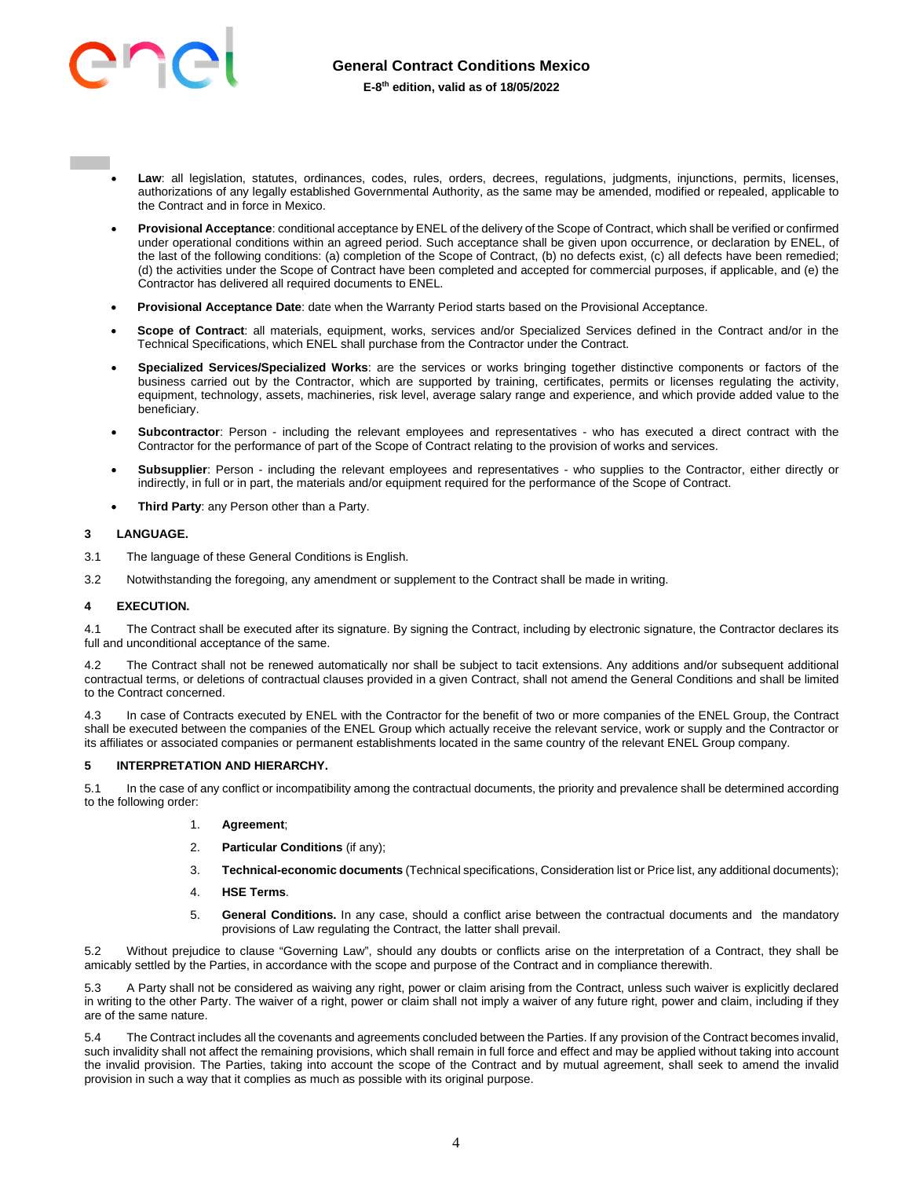

- Law: all legislation, statutes, ordinances, codes, rules, orders, decrees, regulations, judgments, injunctions, permits, licenses, authorizations of any legally established Governmental Authority, as the same may be amended, modified or repealed, applicable to the Contract and in force in Mexico.
- **Provisional Acceptance**: conditional acceptance by ENEL of the delivery of the Scope of Contract, which shall be verified or confirmed under operational conditions within an agreed period. Such acceptance shall be given upon occurrence, or declaration by ENEL, of the last of the following conditions: (a) completion of the Scope of Contract, (b) no defects exist, (c) all defects have been remedied; (d) the activities under the Scope of Contract have been completed and accepted for commercial purposes, if applicable, and (e) the Contractor has delivered all required documents to ENEL.
- **Provisional Acceptance Date**: date when the Warranty Period starts based on the Provisional Acceptance.
- **Scope of Contract**: all materials, equipment, works, services and/or Specialized Services defined in the Contract and/or in the Technical Specifications, which ENEL shall purchase from the Contractor under the Contract.
- **Specialized Services/Specialized Works**: are the services or works bringing together distinctive components or factors of the business carried out by the Contractor, which are supported by training, certificates, permits or licenses regulating the activity, equipment, technology, assets, machineries, risk level, average salary range and experience, and which provide added value to the beneficiary.
- **Subcontractor**: Person including the relevant employees and representatives who has executed a direct contract with the Contractor for the performance of part of the Scope of Contract relating to the provision of works and services.
- **Subsupplier**: Person including the relevant employees and representatives who supplies to the Contractor, either directly or indirectly, in full or in part, the materials and/or equipment required for the performance of the Scope of Contract.
- **Third Party**: any Person other than a Party.

## <span id="page-3-0"></span>**3 LANGUAGE.**

- 3.1 The language of these General Conditions is English.
- 3.2 Notwithstanding the foregoing, any amendment or supplement to the Contract shall be made in writing.

## <span id="page-3-1"></span>**4 EXECUTION.**

4.1 The Contract shall be executed after its signature. By signing the Contract, including by electronic signature, the Contractor declares its full and unconditional acceptance of the same.

4.2 The Contract shall not be renewed automatically nor shall be subject to tacit extensions. Any additions and/or subsequent additional contractual terms, or deletions of contractual clauses provided in a given Contract, shall not amend the General Conditions and shall be limited to the Contract concerned.

4.3 In case of Contracts executed by ENEL with the Contractor for the benefit of two or more companies of the ENEL Group, the Contract shall be executed between the companies of the ENEL Group which actually receive the relevant service, work or supply and the Contractor or its affiliates or associated companies or permanent establishments located in the same country of the relevant ENEL Group company.

## <span id="page-3-2"></span>**5 INTERPRETATION AND HIERARCHY.**

5.1 In the case of any conflict or incompatibility among the contractual documents, the priority and prevalence shall be determined according to the following order:

- 1. **Agreement**;
- 2. **Particular Conditions** (if any);
- 3. **Technical-economic documents** (Technical specifications, Consideration list or Price list, any additional documents);
- 4. **HSE Terms**.
- 5. **General Conditions.** In any case, should a conflict arise between the contractual documents and the mandatory provisions of Law regulating the Contract, the latter shall prevail.

5.2 Without prejudice to clause "Governing Law", should any doubts or conflicts arise on the interpretation of a Contract, they shall be amicably settled by the Parties, in accordance with the scope and purpose of the Contract and in compliance therewith.

5.3 A Party shall not be considered as waiving any right, power or claim arising from the Contract, unless such waiver is explicitly declared in writing to the other Party. The waiver of a right, power or claim shall not imply a waiver of any future right, power and claim, including if they are of the same nature.

5.4 The Contract includes all the covenants and agreements concluded between the Parties. If any provision of the Contract becomes invalid, such invalidity shall not affect the remaining provisions, which shall remain in full force and effect and may be applied without taking into account the invalid provision. The Parties, taking into account the scope of the Contract and by mutual agreement, shall seek to amend the invalid provision in such a way that it complies as much as possible with its original purpose.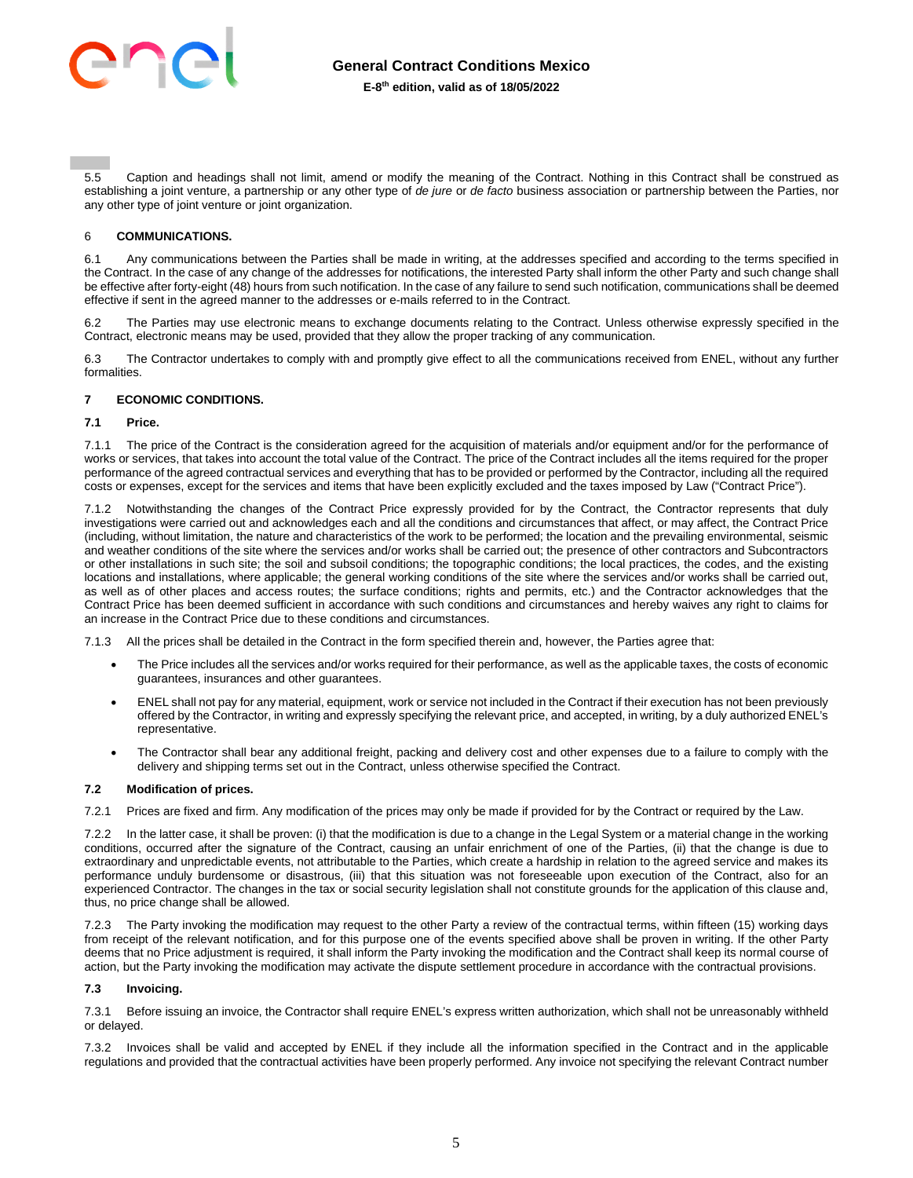

5.5 Caption and headings shall not limit, amend or modify the meaning of the Contract. Nothing in this Contract shall be construed as establishing a joint venture, a partnership or any other type of *de jure* or *de facto* business association or partnership between the Parties, nor any other type of joint venture or joint organization.

## <span id="page-4-0"></span>6 **COMMUNICATIONS.**

6.1 Any communications between the Parties shall be made in writing, at the addresses specified and according to the terms specified in the Contract. In the case of any change of the addresses for notifications, the interested Party shall inform the other Party and such change shall be effective after forty-eight (48) hours from such notification. In the case of any failure to send such notification, communications shall be deemed effective if sent in the agreed manner to the addresses or e-mails referred to in the Contract.

6.2 The Parties may use electronic means to exchange documents relating to the Contract. Unless otherwise expressly specified in the Contract, electronic means may be used, provided that they allow the proper tracking of any communication.

6.3 The Contractor undertakes to comply with and promptly give effect to all the communications received from ENEL, without any further formalities.

## <span id="page-4-1"></span>**7 ECONOMIC CONDITIONS.**

#### **7.1 Price.**

7.1.1 The price of the Contract is the consideration agreed for the acquisition of materials and/or equipment and/or for the performance of works or services, that takes into account the total value of the Contract. The price of the Contract includes all the items required for the proper performance of the agreed contractual services and everything that has to be provided or performed by the Contractor, including all the required costs or expenses, except for the services and items that have been explicitly excluded and the taxes imposed by Law ("Contract Price").

7.1.2 Notwithstanding the changes of the Contract Price expressly provided for by the Contract, the Contractor represents that duly investigations were carried out and acknowledges each and all the conditions and circumstances that affect, or may affect, the Contract Price (including, without limitation, the nature and characteristics of the work to be performed; the location and the prevailing environmental, seismic and weather conditions of the site where the services and/or works shall be carried out; the presence of other contractors and Subcontractors or other installations in such site; the soil and subsoil conditions; the topographic conditions; the local practices, the codes, and the existing locations and installations, where applicable; the general working conditions of the site where the services and/or works shall be carried out, as well as of other places and access routes; the surface conditions; rights and permits, etc.) and the Contractor acknowledges that the Contract Price has been deemed sufficient in accordance with such conditions and circumstances and hereby waives any right to claims for an increase in the Contract Price due to these conditions and circumstances.

7.1.3 All the prices shall be detailed in the Contract in the form specified therein and, however, the Parties agree that:

- The Price includes all the services and/or works required for their performance, as well as the applicable taxes, the costs of economic guarantees, insurances and other guarantees.
- ENEL shall not pay for any material, equipment, work or service not included in the Contract if their execution has not been previously offered by the Contractor, in writing and expressly specifying the relevant price, and accepted, in writing, by a duly authorized ENEL's representative.
- The Contractor shall bear any additional freight, packing and delivery cost and other expenses due to a failure to comply with the delivery and shipping terms set out in the Contract, unless otherwise specified the Contract.

## **7.2 Modification of prices.**

7.2.1 Prices are fixed and firm. Any modification of the prices may only be made if provided for by the Contract or required by the Law.

7.2.2 In the latter case, it shall be proven: (i) that the modification is due to a change in the Legal System or a material change in the working conditions, occurred after the signature of the Contract, causing an unfair enrichment of one of the Parties, (ii) that the change is due to extraordinary and unpredictable events, not attributable to the Parties, which create a hardship in relation to the agreed service and makes its performance unduly burdensome or disastrous, (iii) that this situation was not foreseeable upon execution of the Contract, also for an experienced Contractor. The changes in the tax or social security legislation shall not constitute grounds for the application of this clause and, thus, no price change shall be allowed.

7.2.3 The Party invoking the modification may request to the other Party a review of the contractual terms, within fifteen (15) working days from receipt of the relevant notification, and for this purpose one of the events specified above shall be proven in writing. If the other Party deems that no Price adjustment is required, it shall inform the Party invoking the modification and the Contract shall keep its normal course of action, but the Party invoking the modification may activate the dispute settlement procedure in accordance with the contractual provisions.

#### **7.3 Invoicing.**

7.3.1 Before issuing an invoice, the Contractor shall require ENEL's express written authorization, which shall not be unreasonably withheld or delayed.

7.3.2 Invoices shall be valid and accepted by ENEL if they include all the information specified in the Contract and in the applicable regulations and provided that the contractual activities have been properly performed. Any invoice not specifying the relevant Contract number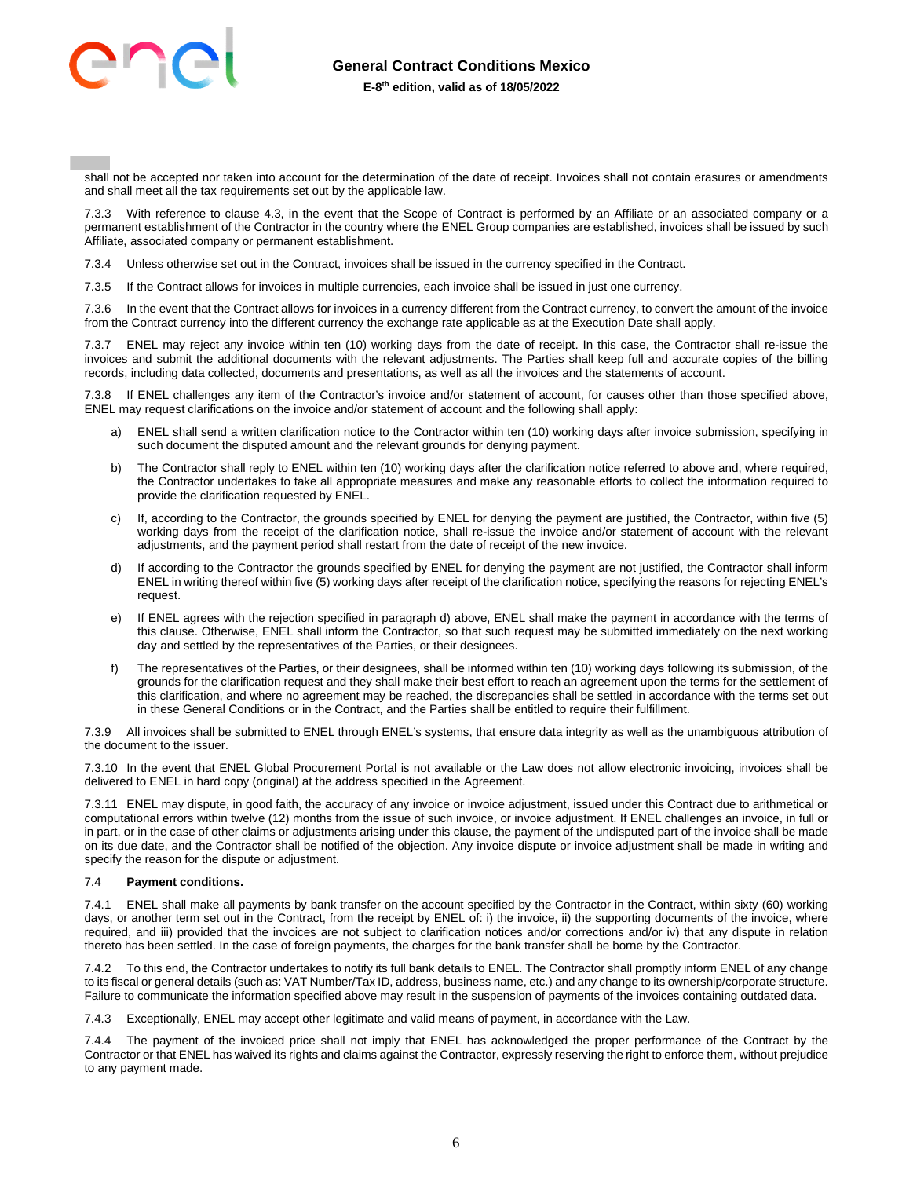

shall not be accepted nor taken into account for the determination of the date of receipt. Invoices shall not contain erasures or amendments and shall meet all the tax requirements set out by the applicable law.

7.3.3 With reference to clause 4.3, in the event that the Scope of Contract is performed by an Affiliate or an associated company or a permanent establishment of the Contractor in the country where the ENEL Group companies are established, invoices shall be issued by such Affiliate, associated company or permanent establishment.

7.3.4 Unless otherwise set out in the Contract, invoices shall be issued in the currency specified in the Contract.

7.3.5 If the Contract allows for invoices in multiple currencies, each invoice shall be issued in just one currency.

7.3.6 In the event that the Contract allows for invoices in a currency different from the Contract currency, to convert the amount of the invoice from the Contract currency into the different currency the exchange rate applicable as at the Execution Date shall apply.

7.3.7 ENEL may reject any invoice within ten (10) working days from the date of receipt. In this case, the Contractor shall re-issue the invoices and submit the additional documents with the relevant adjustments. The Parties shall keep full and accurate copies of the billing records, including data collected, documents and presentations, as well as all the invoices and the statements of account.

7.3.8 If ENEL challenges any item of the Contractor's invoice and/or statement of account, for causes other than those specified above, ENEL may request clarifications on the invoice and/or statement of account and the following shall apply:

- a) ENEL shall send a written clarification notice to the Contractor within ten (10) working days after invoice submission, specifying in such document the disputed amount and the relevant grounds for denying payment.
- b) The Contractor shall reply to ENEL within ten (10) working days after the clarification notice referred to above and, where required, the Contractor undertakes to take all appropriate measures and make any reasonable efforts to collect the information required to provide the clarification requested by ENEL.
- c) If, according to the Contractor, the grounds specified by ENEL for denying the payment are justified, the Contractor, within five (5) working days from the receipt of the clarification notice, shall re-issue the invoice and/or statement of account with the relevant adjustments, and the payment period shall restart from the date of receipt of the new invoice.
- d) If according to the Contractor the grounds specified by ENEL for denying the payment are not justified, the Contractor shall inform ENEL in writing thereof within five (5) working days after receipt of the clarification notice, specifying the reasons for rejecting ENEL's request.
- e) If ENEL agrees with the rejection specified in paragraph d) above, ENEL shall make the payment in accordance with the terms of this clause. Otherwise, ENEL shall inform the Contractor, so that such request may be submitted immediately on the next working day and settled by the representatives of the Parties, or their designees.
- f) The representatives of the Parties, or their designees, shall be informed within ten (10) working days following its submission, of the grounds for the clarification request and they shall make their best effort to reach an agreement upon the terms for the settlement of this clarification, and where no agreement may be reached, the discrepancies shall be settled in accordance with the terms set out in these General Conditions or in the Contract, and the Parties shall be entitled to require their fulfillment.

7.3.9 All invoices shall be submitted to ENEL through ENEL's systems, that ensure data integrity as well as the unambiguous attribution of the document to the issuer.

7.3.10 In the event that ENEL Global Procurement Portal is not available or the Law does not allow electronic invoicing, invoices shall be delivered to ENEL in hard copy (original) at the address specified in the Agreement.

7.3.11 ENEL may dispute, in good faith, the accuracy of any invoice or invoice adjustment, issued under this Contract due to arithmetical or computational errors within twelve (12) months from the issue of such invoice, or invoice adjustment. If ENEL challenges an invoice, in full or in part, or in the case of other claims or adjustments arising under this clause, the payment of the undisputed part of the invoice shall be made on its due date, and the Contractor shall be notified of the objection. Any invoice dispute or invoice adjustment shall be made in writing and specify the reason for the dispute or adjustment.

## 7.4 **Payment conditions.**

7.4.1 ENEL shall make all payments by bank transfer on the account specified by the Contractor in the Contract, within sixty (60) working days, or another term set out in the Contract, from the receipt by ENEL of: i) the invoice, ii) the supporting documents of the invoice, where required, and iii) provided that the invoices are not subject to clarification notices and/or corrections and/or iv) that any dispute in relation thereto has been settled. In the case of foreign payments, the charges for the bank transfer shall be borne by the Contractor.

7.4.2 To this end, the Contractor undertakes to notify its full bank details to ENEL. The Contractor shall promptly inform ENEL of any change to its fiscal or general details (such as: VAT Number/Tax ID, address, business name, etc.) and any change to its ownership/corporate structure. Failure to communicate the information specified above may result in the suspension of payments of the invoices containing outdated data.

7.4.3 Exceptionally, ENEL may accept other legitimate and valid means of payment, in accordance with the Law.

7.4.4 The payment of the invoiced price shall not imply that ENEL has acknowledged the proper performance of the Contract by the Contractor or that ENEL has waived its rights and claims against the Contractor, expressly reserving the right to enforce them, without prejudice to any payment made.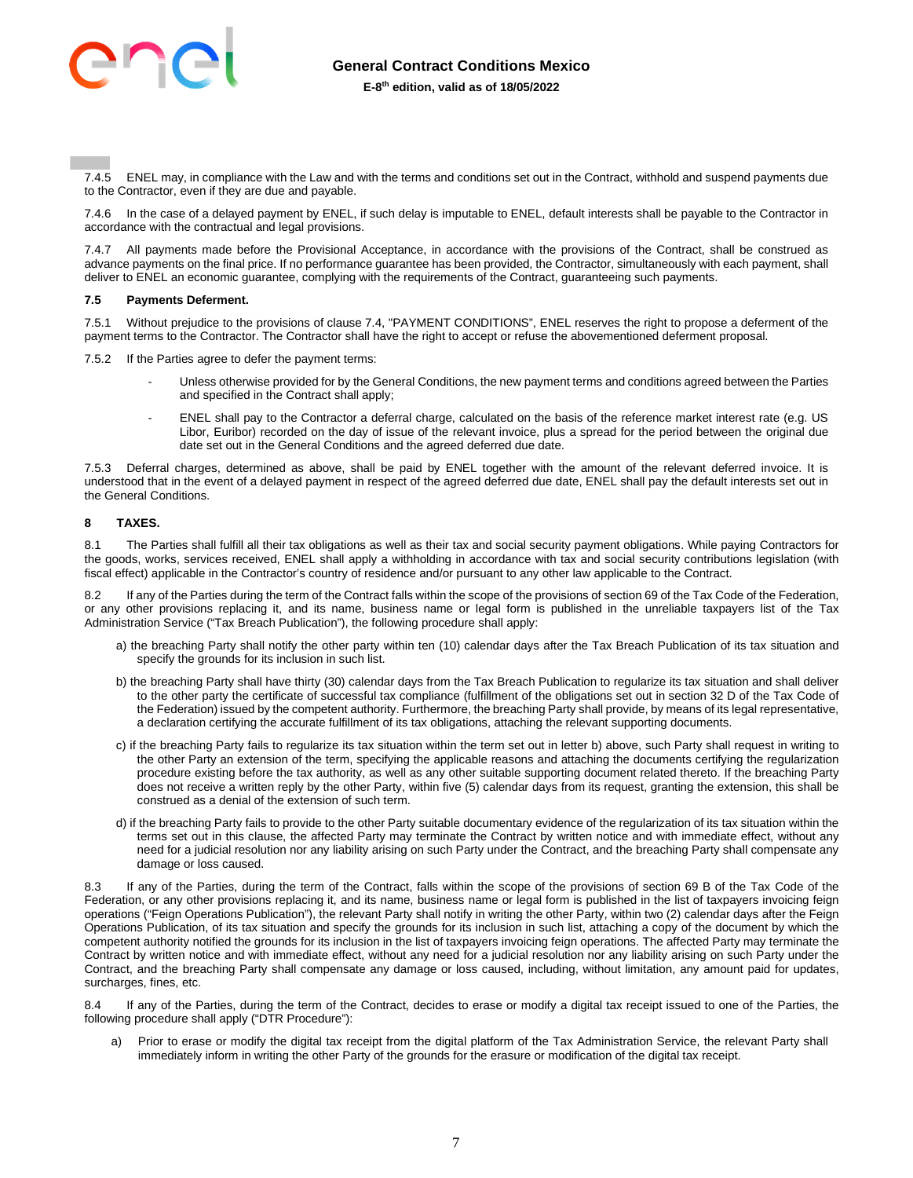

7.4.5 ENEL may, in compliance with the Law and with the terms and conditions set out in the Contract, withhold and suspend payments due to the Contractor, even if they are due and payable.

7.4.6 In the case of a delayed payment by ENEL, if such delay is imputable to ENEL, default interests shall be payable to the Contractor in accordance with the contractual and legal provisions.

All payments made before the Provisional Acceptance, in accordance with the provisions of the Contract, shall be construed as advance payments on the final price. If no performance guarantee has been provided, the Contractor, simultaneously with each payment, shall deliver to ENEL an economic guarantee, complying with the requirements of the Contract, guaranteeing such payments.

#### **7.5 Payments Deferment.**

7.5.1 Without prejudice to the provisions of clause 7.4, "PAYMENT CONDITIONS", ENEL reserves the right to propose a deferment of the payment terms to the Contractor. The Contractor shall have the right to accept or refuse the abovementioned deferment proposal.

7.5.2 If the Parties agree to defer the payment terms:

- Unless otherwise provided for by the General Conditions, the new payment terms and conditions agreed between the Parties and specified in the Contract shall apply;
- ENEL shall pay to the Contractor a deferral charge, calculated on the basis of the reference market interest rate (e.g. US Libor, Euribor) recorded on the day of issue of the relevant invoice, plus a spread for the period between the original due date set out in the General Conditions and the agreed deferred due date.

7.5.3 Deferral charges, determined as above, shall be paid by ENEL together with the amount of the relevant deferred invoice. It is understood that in the event of a delayed payment in respect of the agreed deferred due date, ENEL shall pay the default interests set out in the General Conditions.

## <span id="page-6-0"></span>**8 TAXES.**

8.1 The Parties shall fulfill all their tax obligations as well as their tax and social security payment obligations. While paying Contractors for the goods, works, services received, ENEL shall apply a withholding in accordance with tax and social security contributions legislation (with fiscal effect) applicable in the Contractor's country of residence and/or pursuant to any other law applicable to the Contract.

If any of the Parties during the term of the Contract falls within the scope of the provisions of section 69 of the Tax Code of the Federation, or any other provisions replacing it, and its name, business name or legal form is published in the unreliable taxpayers list of the Tax Administration Service ("Tax Breach Publication"), the following procedure shall apply:

- a) the breaching Party shall notify the other party within ten (10) calendar days after the Tax Breach Publication of its tax situation and specify the grounds for its inclusion in such list.
- b) the breaching Party shall have thirty (30) calendar days from the Tax Breach Publication to regularize its tax situation and shall deliver to the other party the certificate of successful tax compliance (fulfillment of the obligations set out in section 32 D of the Tax Code of the Federation) issued by the competent authority. Furthermore, the breaching Party shall provide, by means of its legal representative, a declaration certifying the accurate fulfillment of its tax obligations, attaching the relevant supporting documents.
- c) if the breaching Party fails to regularize its tax situation within the term set out in letter b) above, such Party shall request in writing to the other Party an extension of the term, specifying the applicable reasons and attaching the documents certifying the regularization procedure existing before the tax authority, as well as any other suitable supporting document related thereto. If the breaching Party does not receive a written reply by the other Party, within five (5) calendar days from its request, granting the extension, this shall be construed as a denial of the extension of such term.
- d) if the breaching Party fails to provide to the other Party suitable documentary evidence of the regularization of its tax situation within the terms set out in this clause, the affected Party may terminate the Contract by written notice and with immediate effect, without any need for a judicial resolution nor any liability arising on such Party under the Contract, and the breaching Party shall compensate any damage or loss caused.

If any of the Parties, during the term of the Contract, falls within the scope of the provisions of section 69 B of the Tax Code of the Federation, or any other provisions replacing it, and its name, business name or legal form is published in the list of taxpayers invoicing feign operations ("Feign Operations Publication"), the relevant Party shall notify in writing the other Party, within two (2) calendar days after the Feign Operations Publication, of its tax situation and specify the grounds for its inclusion in such list, attaching a copy of the document by which the competent authority notified the grounds for its inclusion in the list of taxpayers invoicing feign operations. The affected Party may terminate the Contract by written notice and with immediate effect, without any need for a judicial resolution nor any liability arising on such Party under the Contract, and the breaching Party shall compensate any damage or loss caused, including, without limitation, any amount paid for updates, surcharges, fines, etc.

If any of the Parties, during the term of the Contract, decides to erase or modify a digital tax receipt issued to one of the Parties, the following procedure shall apply ("DTR Procedure"):

a) Prior to erase or modify the digital tax receipt from the digital platform of the Tax Administration Service, the relevant Party shall immediately inform in writing the other Party of the grounds for the erasure or modification of the digital tax receipt.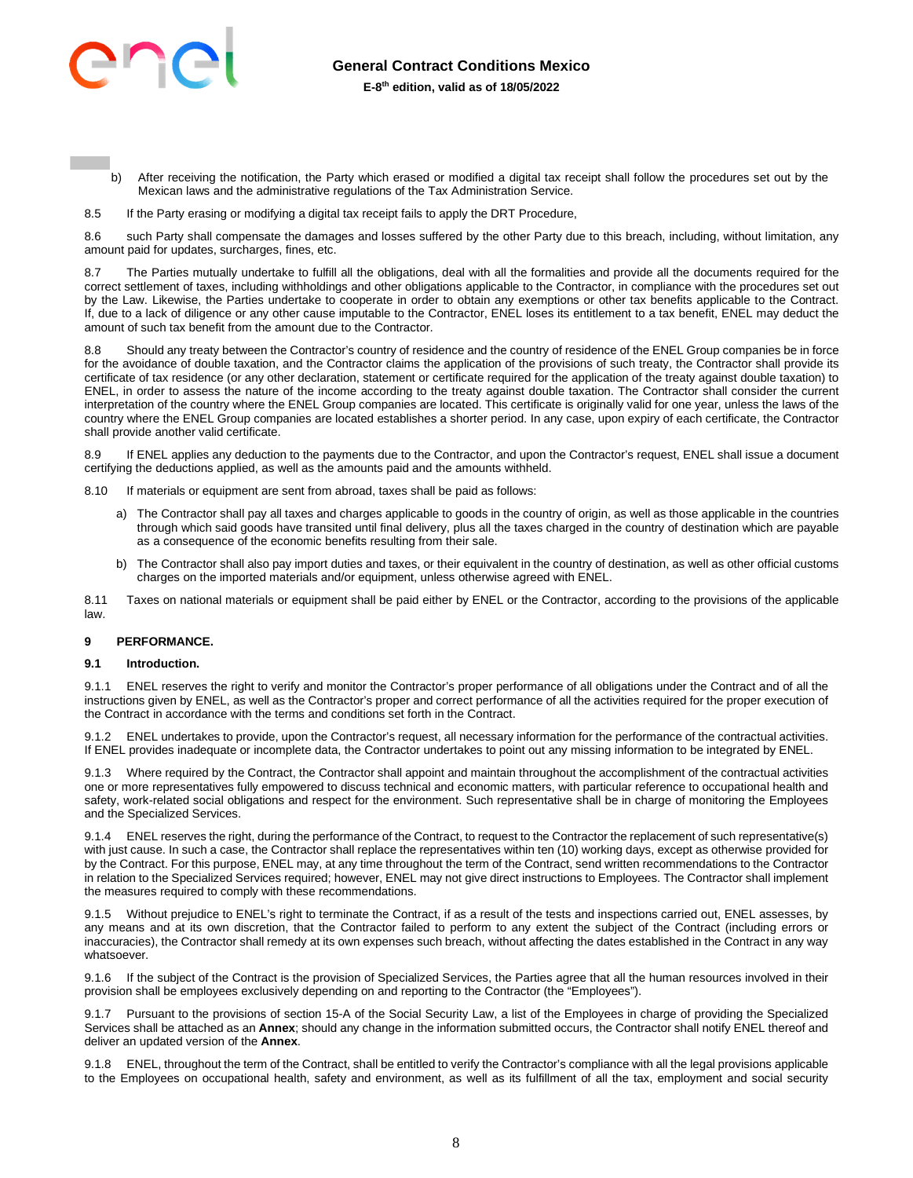

- b) After receiving the notification, the Party which erased or modified a digital tax receipt shall follow the procedures set out by the Mexican laws and the administrative regulations of the Tax Administration Service.
- 8.5 If the Party erasing or modifying a digital tax receipt fails to apply the DRT Procedure,

8.6 such Party shall compensate the damages and losses suffered by the other Party due to this breach, including, without limitation, any amount paid for updates, surcharges, fines, etc.

8.7 The Parties mutually undertake to fulfill all the obligations, deal with all the formalities and provide all the documents required for the correct settlement of taxes, including withholdings and other obligations applicable to the Contractor, in compliance with the procedures set out by the Law. Likewise, the Parties undertake to cooperate in order to obtain any exemptions or other tax benefits applicable to the Contract. If, due to a lack of diligence or any other cause imputable to the Contractor, ENEL loses its entitlement to a tax benefit, ENEL may deduct the amount of such tax benefit from the amount due to the Contractor.

8.8 Should any treaty between the Contractor's country of residence and the country of residence of the ENEL Group companies be in force for the avoidance of double taxation, and the Contractor claims the application of the provisions of such treaty, the Contractor shall provide its certificate of tax residence (or any other declaration, statement or certificate required for the application of the treaty against double taxation) to ENEL, in order to assess the nature of the income according to the treaty against double taxation. The Contractor shall consider the current interpretation of the country where the ENEL Group companies are located. This certificate is originally valid for one year, unless the laws of the country where the ENEL Group companies are located establishes a shorter period. In any case, upon expiry of each certificate, the Contractor shall provide another valid certificate.

If ENEL applies any deduction to the payments due to the Contractor, and upon the Contractor's request, ENEL shall issue a document certifying the deductions applied, as well as the amounts paid and the amounts withheld.

8.10 If materials or equipment are sent from abroad, taxes shall be paid as follows:

- a) The Contractor shall pay all taxes and charges applicable to goods in the country of origin, as well as those applicable in the countries through which said goods have transited until final delivery, plus all the taxes charged in the country of destination which are payable as a consequence of the economic benefits resulting from their sale.
- b) The Contractor shall also pay import duties and taxes, or their equivalent in the country of destination, as well as other official customs charges on the imported materials and/or equipment, unless otherwise agreed with ENEL.

8.11 Taxes on national materials or equipment shall be paid either by ENEL or the Contractor, according to the provisions of the applicable law.

## <span id="page-7-0"></span>**9 PERFORMANCE.**

#### **9.1 Introduction.**

9.1.1 ENEL reserves the right to verify and monitor the Contractor's proper performance of all obligations under the Contract and of all the instructions given by ENEL, as well as the Contractor's proper and correct performance of all the activities required for the proper execution of the Contract in accordance with the terms and conditions set forth in the Contract.

9.1.2 ENEL undertakes to provide, upon the Contractor's request, all necessary information for the performance of the contractual activities. If ENEL provides inadequate or incomplete data, the Contractor undertakes to point out any missing information to be integrated by ENEL.

9.1.3 Where required by the Contract, the Contractor shall appoint and maintain throughout the accomplishment of the contractual activities one or more representatives fully empowered to discuss technical and economic matters, with particular reference to occupational health and safety, work-related social obligations and respect for the environment. Such representative shall be in charge of monitoring the Employees and the Specialized Services.

9.1.4 ENEL reserves the right, during the performance of the Contract, to request to the Contractor the replacement of such representative(s) with just cause. In such a case, the Contractor shall replace the representatives within ten (10) working days, except as otherwise provided for by the Contract. For this purpose, ENEL may, at any time throughout the term of the Contract, send written recommendations to the Contractor in relation to the Specialized Services required; however, ENEL may not give direct instructions to Employees. The Contractor shall implement the measures required to comply with these recommendations.

9.1.5 Without prejudice to ENEL's right to terminate the Contract, if as a result of the tests and inspections carried out, ENEL assesses, by any means and at its own discretion, that the Contractor failed to perform to any extent the subject of the Contract (including errors or inaccuracies), the Contractor shall remedy at its own expenses such breach, without affecting the dates established in the Contract in any way whatsoever.

9.1.6 If the subject of the Contract is the provision of Specialized Services, the Parties agree that all the human resources involved in their provision shall be employees exclusively depending on and reporting to the Contractor (the "Employees").

9.1.7 Pursuant to the provisions of section 15-A of the Social Security Law, a list of the Employees in charge of providing the Specialized Services shall be attached as an **Annex**; should any change in the information submitted occurs, the Contractor shall notify ENEL thereof and deliver an updated version of the **Annex**.

9.1.8 ENEL, throughout the term of the Contract, shall be entitled to verify the Contractor's compliance with all the legal provisions applicable to the Employees on occupational health, safety and environment, as well as its fulfillment of all the tax, employment and social security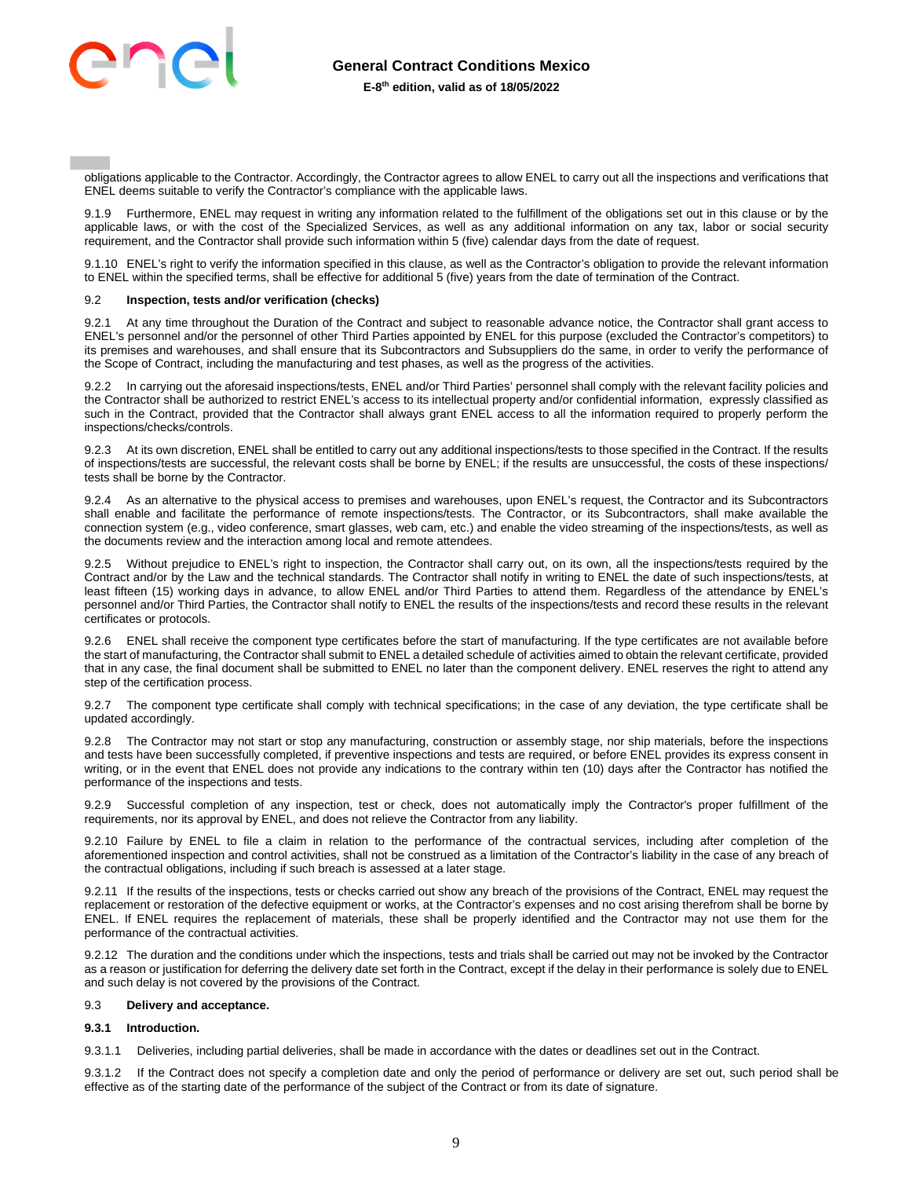

obligations applicable to the Contractor. Accordingly, the Contractor agrees to allow ENEL to carry out all the inspections and verifications that ENEL deems suitable to verify the Contractor's compliance with the applicable laws.

9.1.9 Furthermore, ENEL may request in writing any information related to the fulfillment of the obligations set out in this clause or by the applicable laws, or with the cost of the Specialized Services, as well as any additional information on any tax, labor or social security requirement, and the Contractor shall provide such information within 5 (five) calendar days from the date of request.

9.1.10 ENEL's right to verify the information specified in this clause, as well as the Contractor's obligation to provide the relevant information to ENEL within the specified terms, shall be effective for additional 5 (five) years from the date of termination of the Contract.

## 9.2 **Inspection, tests and/or verification (checks)**

9.2.1 At any time throughout the Duration of the Contract and subject to reasonable advance notice, the Contractor shall grant access to ENEL's personnel and/or the personnel of other Third Parties appointed by ENEL for this purpose (excluded the Contractor's competitors) to its premises and warehouses, and shall ensure that its Subcontractors and Subsuppliers do the same, in order to verify the performance of the Scope of Contract, including the manufacturing and test phases, as well as the progress of the activities.

9.2.2 In carrying out the aforesaid inspections/tests, ENEL and/or Third Parties' personnel shall comply with the relevant facility policies and the Contractor shall be authorized to restrict ENEL's access to its intellectual property and/or confidential information, expressly classified as such in the Contract, provided that the Contractor shall always grant ENEL access to all the information required to properly perform the inspections/checks/controls.

9.2.3 At its own discretion, ENEL shall be entitled to carry out any additional inspections/tests to those specified in the Contract. If the results of inspections/tests are successful, the relevant costs shall be borne by ENEL; if the results are unsuccessful, the costs of these inspections/ tests shall be borne by the Contractor.

9.2.4 As an alternative to the physical access to premises and warehouses, upon ENEL's request, the Contractor and its Subcontractors shall enable and facilitate the performance of remote inspections/tests. The Contractor, or its Subcontractors, shall make available the connection system (e.g., video conference, smart glasses, web cam, etc.) and enable the video streaming of the inspections/tests, as well as the documents review and the interaction among local and remote attendees.

9.2.5 Without prejudice to ENEL's right to inspection, the Contractor shall carry out, on its own, all the inspections/tests required by the Contract and/or by the Law and the technical standards. The Contractor shall notify in writing to ENEL the date of such inspections/tests, at least fifteen (15) working days in advance, to allow ENEL and/or Third Parties to attend them. Regardless of the attendance by ENEL's personnel and/or Third Parties, the Contractor shall notify to ENEL the results of the inspections/tests and record these results in the relevant certificates or protocols.

9.2.6 ENEL shall receive the component type certificates before the start of manufacturing. If the type certificates are not available before the start of manufacturing, the Contractor shall submit to ENEL a detailed schedule of activities aimed to obtain the relevant certificate, provided that in any case, the final document shall be submitted to ENEL no later than the component delivery. ENEL reserves the right to attend any step of the certification process.

9.2.7 The component type certificate shall comply with technical specifications; in the case of any deviation, the type certificate shall be updated accordingly.

9.2.8 The Contractor may not start or stop any manufacturing, construction or assembly stage, nor ship materials, before the inspections and tests have been successfully completed, if preventive inspections and tests are required, or before ENEL provides its express consent in writing, or in the event that ENEL does not provide any indications to the contrary within ten (10) days after the Contractor has notified the performance of the inspections and tests.

9.2.9 Successful completion of any inspection, test or check, does not automatically imply the Contractor's proper fulfillment of the requirements, nor its approval by ENEL, and does not relieve the Contractor from any liability.

9.2.10 Failure by ENEL to file a claim in relation to the performance of the contractual services, including after completion of the aforementioned inspection and control activities, shall not be construed as a limitation of the Contractor's liability in the case of any breach of the contractual obligations, including if such breach is assessed at a later stage.

9.2.11 If the results of the inspections, tests or checks carried out show any breach of the provisions of the Contract, ENEL may request the replacement or restoration of the defective equipment or works, at the Contractor's expenses and no cost arising therefrom shall be borne by ENEL. If ENEL requires the replacement of materials, these shall be properly identified and the Contractor may not use them for the performance of the contractual activities.

9.2.12 The duration and the conditions under which the inspections, tests and trials shall be carried out may not be invoked by the Contractor as a reason or justification for deferring the delivery date set forth in the Contract, except if the delay in their performance is solely due to ENEL and such delay is not covered by the provisions of the Contract.

#### 9.3 **Delivery and acceptance.**

## **9.3.1 Introduction.**

9.3.1.1 Deliveries, including partial deliveries, shall be made in accordance with the dates or deadlines set out in the Contract.

9.3.1.2 If the Contract does not specify a completion date and only the period of performance or delivery are set out, such period shall be effective as of the starting date of the performance of the subject of the Contract or from its date of signature.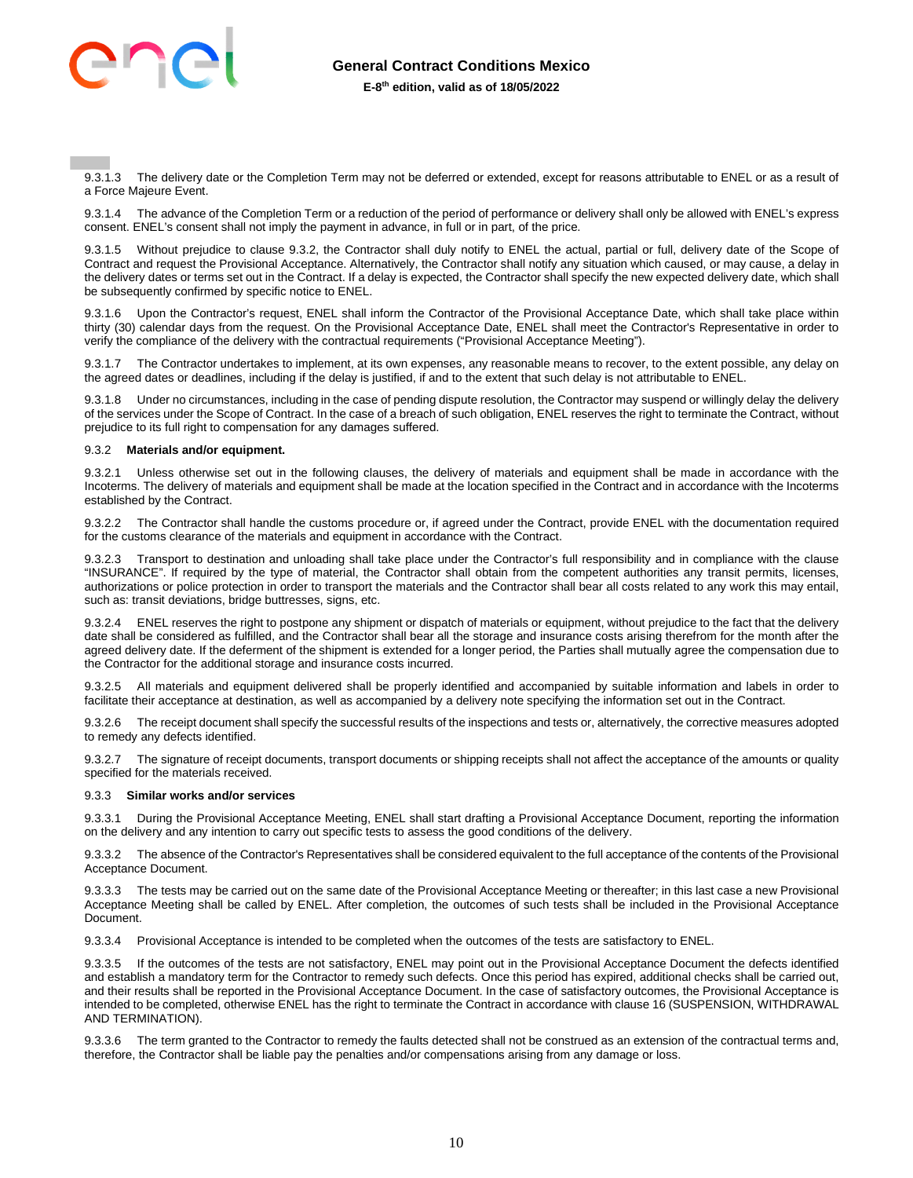

9.3.1.3 The delivery date or the Completion Term may not be deferred or extended, except for reasons attributable to ENEL or as a result of a Force Majeure Event.

9.3.1.4 The advance of the Completion Term or a reduction of the period of performance or delivery shall only be allowed with ENEL's express consent. ENEL's consent shall not imply the payment in advance, in full or in part, of the price.

9.3.1.5 Without prejudice to clause 9.3.2, the Contractor shall duly notify to ENEL the actual, partial or full, delivery date of the Scope of Contract and request the Provisional Acceptance. Alternatively, the Contractor shall notify any situation which caused, or may cause, a delay in the delivery dates or terms set out in the Contract. If a delay is expected, the Contractor shall specify the new expected delivery date, which shall be subsequently confirmed by specific notice to ENEL.

9.3.1.6 Upon the Contractor's request, ENEL shall inform the Contractor of the Provisional Acceptance Date, which shall take place within thirty (30) calendar days from the request. On the Provisional Acceptance Date, ENEL shall meet the Contractor's Representative in order to verify the compliance of the delivery with the contractual requirements ("Provisional Acceptance Meeting").

9.3.1.7 The Contractor undertakes to implement, at its own expenses, any reasonable means to recover, to the extent possible, any delay on the agreed dates or deadlines, including if the delay is justified, if and to the extent that such delay is not attributable to ENEL.

9.3.1.8 Under no circumstances, including in the case of pending dispute resolution, the Contractor may suspend or willingly delay the delivery of the services under the Scope of Contract. In the case of a breach of such obligation, ENEL reserves the right to terminate the Contract, without prejudice to its full right to compensation for any damages suffered.

#### 9.3.2 **Materials and/or equipment.**

9.3.2.1 Unless otherwise set out in the following clauses, the delivery of materials and equipment shall be made in accordance with the Incoterms. The delivery of materials and equipment shall be made at the location specified in the Contract and in accordance with the Incoterms established by the Contract.

9.3.2.2 The Contractor shall handle the customs procedure or, if agreed under the Contract, provide ENEL with the documentation required for the customs clearance of the materials and equipment in accordance with the Contract.

9.3.2.3 Transport to destination and unloading shall take place under the Contractor's full responsibility and in compliance with the clause "INSURANCE". If required by the type of material, the Contractor shall obtain from the competent authorities any transit permits, licenses, authorizations or police protection in order to transport the materials and the Contractor shall bear all costs related to any work this may entail, such as: transit deviations, bridge buttresses, signs, etc.

9.3.2.4 ENEL reserves the right to postpone any shipment or dispatch of materials or equipment, without prejudice to the fact that the delivery date shall be considered as fulfilled, and the Contractor shall bear all the storage and insurance costs arising therefrom for the month after the agreed delivery date. If the deferment of the shipment is extended for a longer period, the Parties shall mutually agree the compensation due to the Contractor for the additional storage and insurance costs incurred.

9.3.2.5 All materials and equipment delivered shall be properly identified and accompanied by suitable information and labels in order to facilitate their acceptance at destination, as well as accompanied by a delivery note specifying the information set out in the Contract.

9.3.2.6 The receipt document shall specify the successful results of the inspections and tests or, alternatively, the corrective measures adopted to remedy any defects identified.

9.3.2.7 The signature of receipt documents, transport documents or shipping receipts shall not affect the acceptance of the amounts or quality specified for the materials received.

#### 9.3.3 **Similar works and/or services**

9.3.3.1 During the Provisional Acceptance Meeting, ENEL shall start drafting a Provisional Acceptance Document, reporting the information on the delivery and any intention to carry out specific tests to assess the good conditions of the delivery.

9.3.3.2 The absence of the Contractor's Representatives shall be considered equivalent to the full acceptance of the contents of the Provisional Acceptance Document.

9.3.3.3 The tests may be carried out on the same date of the Provisional Acceptance Meeting or thereafter; in this last case a new Provisional Acceptance Meeting shall be called by ENEL. After completion, the outcomes of such tests shall be included in the Provisional Acceptance Document.

9.3.3.4 Provisional Acceptance is intended to be completed when the outcomes of the tests are satisfactory to ENEL.

9.3.3.5 If the outcomes of the tests are not satisfactory, ENEL may point out in the Provisional Acceptance Document the defects identified and establish a mandatory term for the Contractor to remedy such defects. Once this period has expired, additional checks shall be carried out, and their results shall be reported in the Provisional Acceptance Document. In the case of satisfactory outcomes, the Provisional Acceptance is intended to be completed, otherwise ENEL has the right to terminate the Contract in accordance with clause 16 (SUSPENSION, WITHDRAWAL AND TERMINATION).

9.3.3.6 The term granted to the Contractor to remedy the faults detected shall not be construed as an extension of the contractual terms and, therefore, the Contractor shall be liable pay the penalties and/or compensations arising from any damage or loss.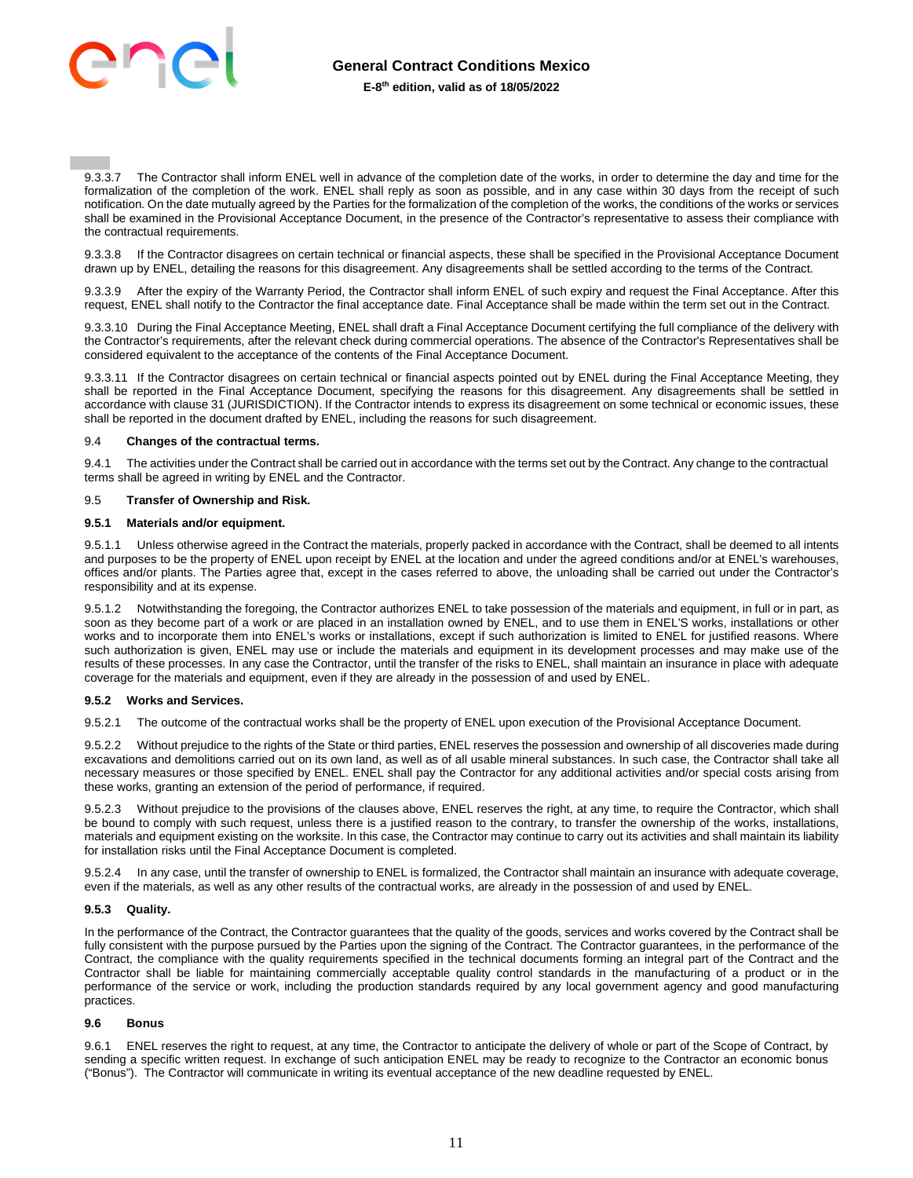

9.3.3.7 The Contractor shall inform ENEL well in advance of the completion date of the works, in order to determine the day and time for the formalization of the completion of the work. ENEL shall reply as soon as possible, and in any case within 30 days from the receipt of such notification. On the date mutually agreed by the Parties for the formalization of the completion of the works, the conditions of the works or services shall be examined in the Provisional Acceptance Document, in the presence of the Contractor's representative to assess their compliance with the contractual requirements.

9.3.3.8 If the Contractor disagrees on certain technical or financial aspects, these shall be specified in the Provisional Acceptance Document drawn up by ENEL, detailing the reasons for this disagreement. Any disagreements shall be settled according to the terms of the Contract.

9.3.3.9 After the expiry of the Warranty Period, the Contractor shall inform ENEL of such expiry and request the Final Acceptance. After this request, ENEL shall notify to the Contractor the final acceptance date. Final Acceptance shall be made within the term set out in the Contract.

9.3.3.10 During the Final Acceptance Meeting, ENEL shall draft a Final Acceptance Document certifying the full compliance of the delivery with the Contractor's requirements, after the relevant check during commercial operations. The absence of the Contractor's Representatives shall be considered equivalent to the acceptance of the contents of the Final Acceptance Document.

9.3.3.11 If the Contractor disagrees on certain technical or financial aspects pointed out by ENEL during the Final Acceptance Meeting, they shall be reported in the Final Acceptance Document, specifying the reasons for this disagreement. Any disagreements shall be settled in accordance with clause 31 (JURISDICTION). If the Contractor intends to express its disagreement on some technical or economic issues, these shall be reported in the document drafted by ENEL, including the reasons for such disagreement.

#### 9.4 **Changes of the contractual terms.**

9.4.1 The activities under the Contract shall be carried out in accordance with the terms set out by the Contract. Any change to the contractual terms shall be agreed in writing by ENEL and the Contractor.

#### 9.5 **Transfer of Ownership and Risk.**

#### **9.5.1 Materials and/or equipment.**

9.5.1.1 Unless otherwise agreed in the Contract the materials, properly packed in accordance with the Contract, shall be deemed to all intents and purposes to be the property of ENEL upon receipt by ENEL at the location and under the agreed conditions and/or at ENEL's warehouses, offices and/or plants. The Parties agree that, except in the cases referred to above, the unloading shall be carried out under the Contractor's responsibility and at its expense.

9.5.1.2 Notwithstanding the foregoing, the Contractor authorizes ENEL to take possession of the materials and equipment, in full or in part, as soon as they become part of a work or are placed in an installation owned by ENEL, and to use them in ENEL'S works, installations or other works and to incorporate them into ENEL's works or installations, except if such authorization is limited to ENEL for justified reasons. Where such authorization is given, ENEL may use or include the materials and equipment in its development processes and may make use of the results of these processes. In any case the Contractor, until the transfer of the risks to ENEL, shall maintain an insurance in place with adequate coverage for the materials and equipment, even if they are already in the possession of and used by ENEL.

#### **9.5.2 Works and Services.**

9.5.2.1 The outcome of the contractual works shall be the property of ENEL upon execution of the Provisional Acceptance Document.

9.5.2.2 Without prejudice to the rights of the State or third parties, ENEL reserves the possession and ownership of all discoveries made during excavations and demolitions carried out on its own land, as well as of all usable mineral substances. In such case, the Contractor shall take all necessary measures or those specified by ENEL. ENEL shall pay the Contractor for any additional activities and/or special costs arising from these works, granting an extension of the period of performance, if required.

9.5.2.3 Without prejudice to the provisions of the clauses above, ENEL reserves the right, at any time, to require the Contractor, which shall be bound to comply with such request, unless there is a justified reason to the contrary, to transfer the ownership of the works, installations, materials and equipment existing on the worksite. In this case, the Contractor may continue to carry out its activities and shall maintain its liability for installation risks until the Final Acceptance Document is completed.

9.5.2.4 In any case, until the transfer of ownership to ENEL is formalized, the Contractor shall maintain an insurance with adequate coverage, even if the materials, as well as any other results of the contractual works, are already in the possession of and used by ENEL.

#### **9.5.3 Quality.**

In the performance of the Contract, the Contractor guarantees that the quality of the goods, services and works covered by the Contract shall be fully consistent with the purpose pursued by the Parties upon the signing of the Contract. The Contractor guarantees, in the performance of the Contract, the compliance with the quality requirements specified in the technical documents forming an integral part of the Contract and the Contractor shall be liable for maintaining commercially acceptable quality control standards in the manufacturing of a product or in the performance of the service or work, including the production standards required by any local government agency and good manufacturing practices.

## **9.6 Bonus**

9.6.1 ENEL reserves the right to request, at any time, the Contractor to anticipate the delivery of whole or part of the Scope of Contract, by sending a specific written request. In exchange of such anticipation ENEL may be ready to recognize to the Contractor an economic bonus ("Bonus"). The Contractor will communicate in writing its eventual acceptance of the new deadline requested by ENEL.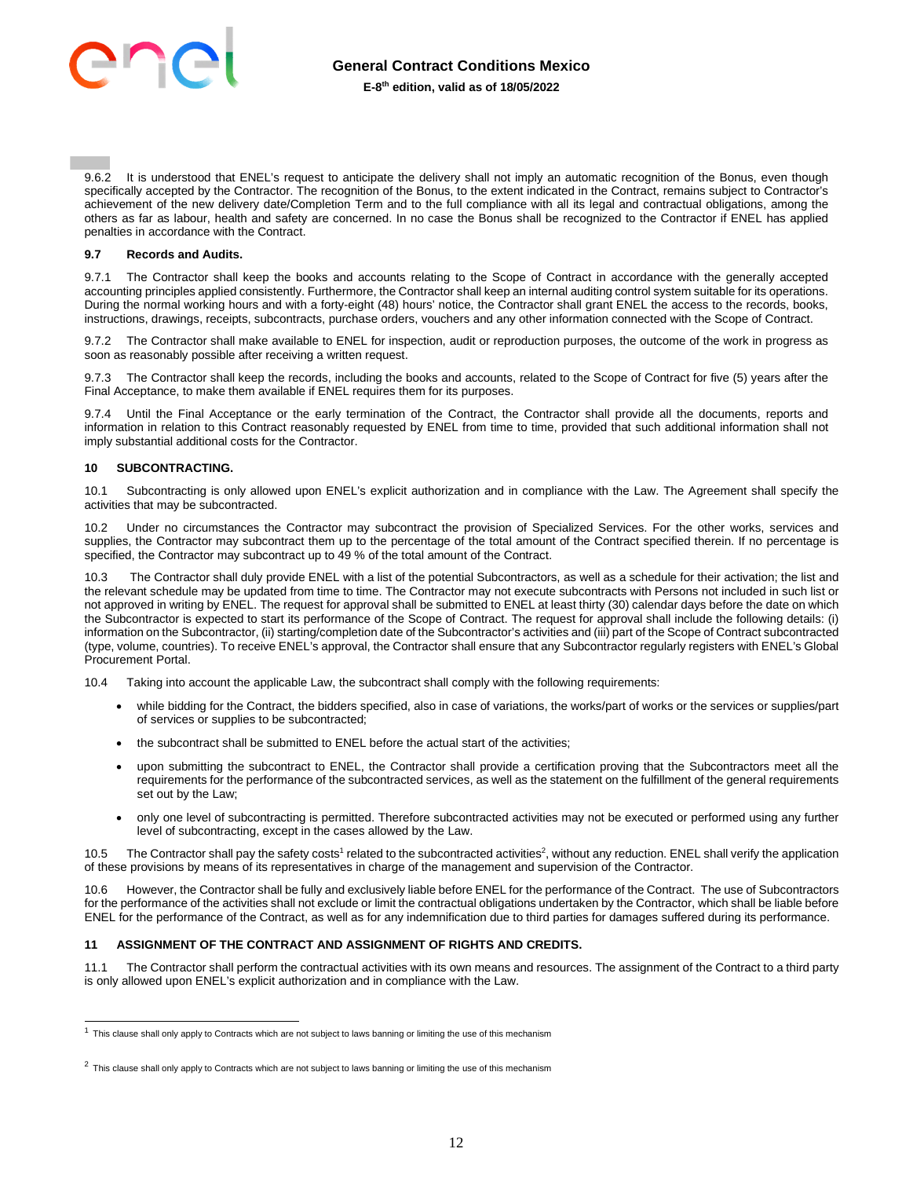

9.6.2 It is understood that ENEL's request to anticipate the delivery shall not imply an automatic recognition of the Bonus, even though specifically accepted by the Contractor. The recognition of the Bonus, to the extent indicated in the Contract, remains subject to Contractor's achievement of the new delivery date/Completion Term and to the full compliance with all its legal and contractual obligations, among the others as far as labour, health and safety are concerned. In no case the Bonus shall be recognized to the Contractor if ENEL has applied penalties in accordance with the Contract.

#### **9.7 Records and Audits.**

9.7.1 The Contractor shall keep the books and accounts relating to the Scope of Contract in accordance with the generally accepted accounting principles applied consistently. Furthermore, the Contractor shall keep an internal auditing control system suitable for its operations. During the normal working hours and with a forty-eight (48) hours' notice, the Contractor shall grant ENEL the access to the records, books, instructions, drawings, receipts, subcontracts, purchase orders, vouchers and any other information connected with the Scope of Contract.

9.7.2 The Contractor shall make available to ENEL for inspection, audit or reproduction purposes, the outcome of the work in progress as soon as reasonably possible after receiving a written request.

9.7.3 The Contractor shall keep the records, including the books and accounts, related to the Scope of Contract for five (5) years after the Final Acceptance, to make them available if ENEL requires them for its purposes.

9.7.4 Until the Final Acceptance or the early termination of the Contract, the Contractor shall provide all the documents, reports and information in relation to this Contract reasonably requested by ENEL from time to time, provided that such additional information shall not imply substantial additional costs for the Contractor.

## <span id="page-11-0"></span>**10 SUBCONTRACTING.**

10.1 Subcontracting is only allowed upon ENEL's explicit authorization and in compliance with the Law. The Agreement shall specify the activities that may be subcontracted.

10.2 Under no circumstances the Contractor may subcontract the provision of Specialized Services. For the other works, services and supplies, the Contractor may subcontract them up to the percentage of the total amount of the Contract specified therein. If no percentage is specified, the Contractor may subcontract up to 49 % of the total amount of the Contract.

10.3 The Contractor shall duly provide ENEL with a list of the potential Subcontractors, as well as a schedule for their activation; the list and the relevant schedule may be updated from time to time. The Contractor may not execute subcontracts with Persons not included in such list or not approved in writing by ENEL. The request for approval shall be submitted to ENEL at least thirty (30) calendar days before the date on which the Subcontractor is expected to start its performance of the Scope of Contract. The request for approval shall include the following details: (i) information on the Subcontractor, (ii) starting/completion date of the Subcontractor's activities and (iii) part of the Scope of Contract subcontracted (type, volume, countries). To receive ENEL's approval, the Contractor shall ensure that any Subcontractor regularly registers with ENEL's Global Procurement Portal.

10.4 Taking into account the applicable Law, the subcontract shall comply with the following requirements:

- while bidding for the Contract, the bidders specified, also in case of variations, the works/part of works or the services or supplies/part of services or supplies to be subcontracted;
- the subcontract shall be submitted to ENEL before the actual start of the activities;
- upon submitting the subcontract to ENEL, the Contractor shall provide a certification proving that the Subcontractors meet all the requirements for the performance of the subcontracted services, as well as the statement on the fulfillment of the general requirements set out by the Law;
- only one level of subcontracting is permitted. Therefore subcontracted activities may not be executed or performed using any further level of subcontracting, except in the cases allowed by the Law.

10.5 The Contractor shall pay the safety costs<sup>1</sup> related to the subcontracted activities<sup>2</sup>, without any reduction. ENEL shall verify the application of these provisions by means of its representatives in charge of the management and supervision of the Contractor.

10.6 However, the Contractor shall be fully and exclusively liable before ENEL for the performance of the Contract. The use of Subcontractors for the performance of the activities shall not exclude or limit the contractual obligations undertaken by the Contractor, which shall be liable before ENEL for the performance of the Contract, as well as for any indemnification due to third parties for damages suffered during its performance.

## <span id="page-11-1"></span>**11 ASSIGNMENT OF THE CONTRACT AND ASSIGNMENT OF RIGHTS AND CREDITS.**

11.1 The Contractor shall perform the contractual activities with its own means and resources. The assignment of the Contract to a third party is only allowed upon ENEL's explicit authorization and in compliance with the Law.

 $1$  This clause shall only apply to Contracts which are not subject to laws banning or limiting the use of this mechanism

 $^2$  This clause shall only apply to Contracts which are not subject to laws banning or limiting the use of this mechanism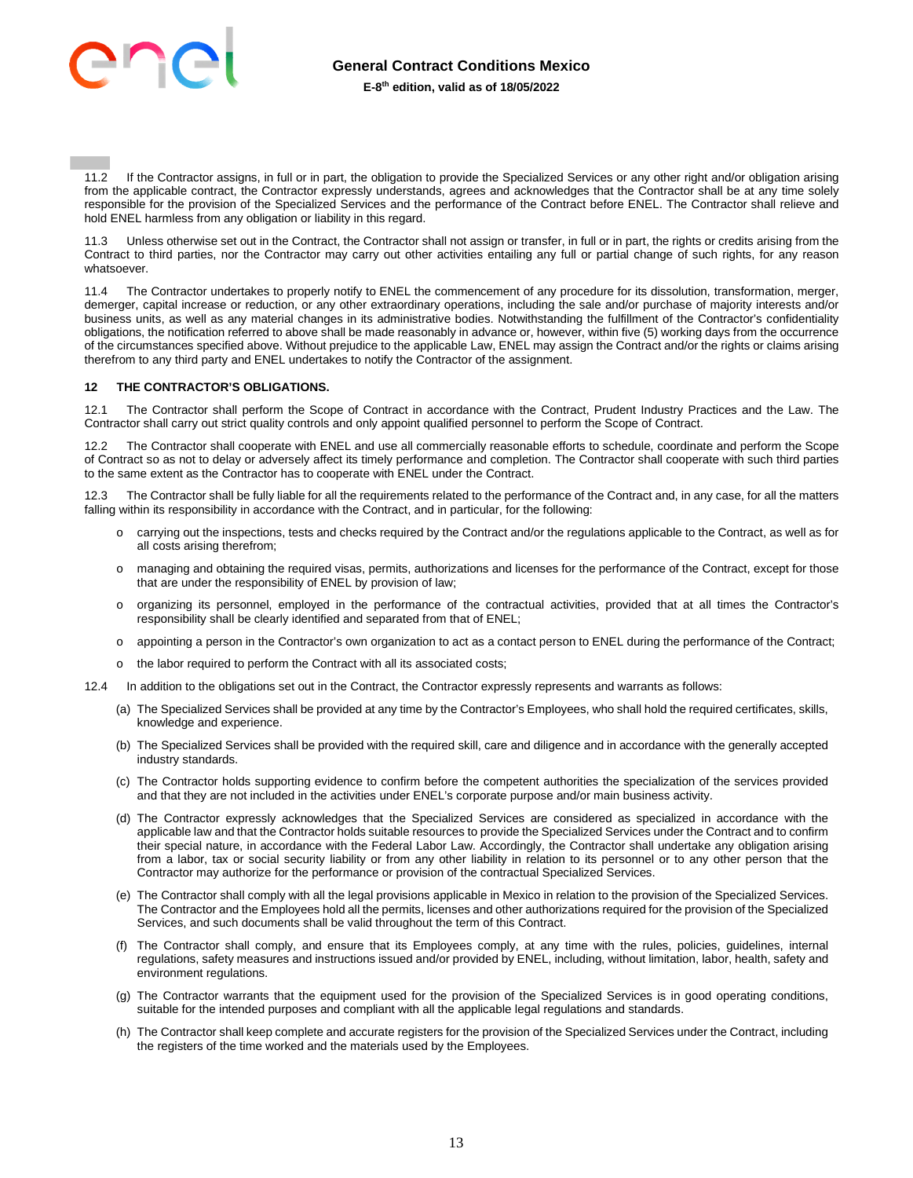

11.2 If the Contractor assigns, in full or in part, the obligation to provide the Specialized Services or any other right and/or obligation arising from the applicable contract, the Contractor expressly understands, agrees and acknowledges that the Contractor shall be at any time solely responsible for the provision of the Specialized Services and the performance of the Contract before ENEL. The Contractor shall relieve and hold ENEL harmless from any obligation or liability in this regard.

11.3 Unless otherwise set out in the Contract, the Contractor shall not assign or transfer, in full or in part, the rights or credits arising from the Contract to third parties, nor the Contractor may carry out other activities entailing any full or partial change of such rights, for any reason whatsoever.

11.4 The Contractor undertakes to properly notify to ENEL the commencement of any procedure for its dissolution, transformation, merger, demerger, capital increase or reduction, or any other extraordinary operations, including the sale and/or purchase of majority interests and/or business units, as well as any material changes in its administrative bodies. Notwithstanding the fulfillment of the Contractor's confidentiality obligations, the notification referred to above shall be made reasonably in advance or, however, within five (5) working days from the occurrence of the circumstances specified above. Without prejudice to the applicable Law, ENEL may assign the Contract and/or the rights or claims arising therefrom to any third party and ENEL undertakes to notify the Contractor of the assignment.

## <span id="page-12-0"></span>**12 THE CONTRACTOR'S OBLIGATIONS.**

12.1 The Contractor shall perform the Scope of Contract in accordance with the Contract, Prudent Industry Practices and the Law. The Contractor shall carry out strict quality controls and only appoint qualified personnel to perform the Scope of Contract.

12.2 The Contractor shall cooperate with ENEL and use all commercially reasonable efforts to schedule, coordinate and perform the Scope of Contract so as not to delay or adversely affect its timely performance and completion. The Contractor shall cooperate with such third parties to the same extent as the Contractor has to cooperate with ENEL under the Contract.

12.3 The Contractor shall be fully liable for all the requirements related to the performance of the Contract and, in any case, for all the matters falling within its responsibility in accordance with the Contract, and in particular, for the following:

- o carrying out the inspections, tests and checks required by the Contract and/or the regulations applicable to the Contract, as well as for all costs arising therefrom;
- o managing and obtaining the required visas, permits, authorizations and licenses for the performance of the Contract, except for those that are under the responsibility of ENEL by provision of law;
- o organizing its personnel, employed in the performance of the contractual activities, provided that at all times the Contractor's responsibility shall be clearly identified and separated from that of ENEL;
- o appointing a person in the Contractor's own organization to act as a contact person to ENEL during the performance of the Contract;
- o the labor required to perform the Contract with all its associated costs;
- 12.4 In addition to the obligations set out in the Contract, the Contractor expressly represents and warrants as follows:
	- (a) The Specialized Services shall be provided at any time by the Contractor's Employees, who shall hold the required certificates, skills, knowledge and experience.
	- (b) The Specialized Services shall be provided with the required skill, care and diligence and in accordance with the generally accepted industry standards.
	- (c) The Contractor holds supporting evidence to confirm before the competent authorities the specialization of the services provided and that they are not included in the activities under ENEL's corporate purpose and/or main business activity.
	- (d) The Contractor expressly acknowledges that the Specialized Services are considered as specialized in accordance with the applicable law and that the Contractor holds suitable resources to provide the Specialized Services under the Contract and to confirm their special nature, in accordance with the Federal Labor Law. Accordingly, the Contractor shall undertake any obligation arising from a labor, tax or social security liability or from any other liability in relation to its personnel or to any other person that the Contractor may authorize for the performance or provision of the contractual Specialized Services.
	- (e) The Contractor shall comply with all the legal provisions applicable in Mexico in relation to the provision of the Specialized Services. The Contractor and the Employees hold all the permits, licenses and other authorizations required for the provision of the Specialized Services, and such documents shall be valid throughout the term of this Contract.
	- (f) The Contractor shall comply, and ensure that its Employees comply, at any time with the rules, policies, guidelines, internal regulations, safety measures and instructions issued and/or provided by ENEL, including, without limitation, labor, health, safety and environment regulations.
	- (g) The Contractor warrants that the equipment used for the provision of the Specialized Services is in good operating conditions, suitable for the intended purposes and compliant with all the applicable legal regulations and standards.
	- (h) The Contractor shall keep complete and accurate registers for the provision of the Specialized Services under the Contract, including the registers of the time worked and the materials used by the Employees.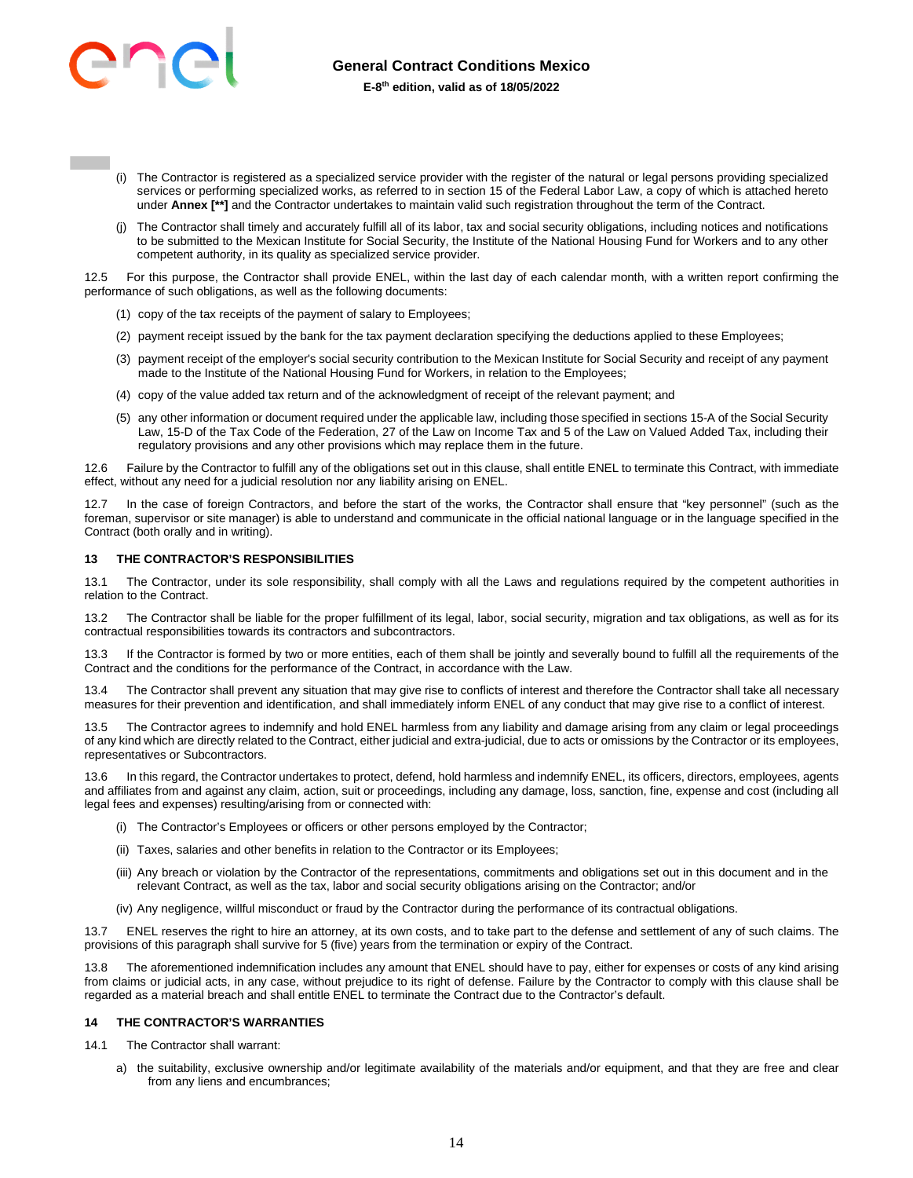

- (i) The Contractor is registered as a specialized service provider with the register of the natural or legal persons providing specialized services or performing specialized works, as referred to in section 15 of the Federal Labor Law, a copy of which is attached hereto under **Annex [\*\*]** and the Contractor undertakes to maintain valid such registration throughout the term of the Contract.
- (j) The Contractor shall timely and accurately fulfill all of its labor, tax and social security obligations, including notices and notifications to be submitted to the Mexican Institute for Social Security, the Institute of the National Housing Fund for Workers and to any other competent authority, in its quality as specialized service provider.

12.5 For this purpose, the Contractor shall provide ENEL, within the last day of each calendar month, with a written report confirming the performance of such obligations, as well as the following documents:

- (1) copy of the tax receipts of the payment of salary to Employees;
- (2) payment receipt issued by the bank for the tax payment declaration specifying the deductions applied to these Employees;
- (3) payment receipt of the employer's social security contribution to the Mexican Institute for Social Security and receipt of any payment made to the Institute of the National Housing Fund for Workers, in relation to the Employees;
- (4) copy of the value added tax return and of the acknowledgment of receipt of the relevant payment; and
- (5) any other information or document required under the applicable law, including those specified in sections 15-A of the Social Security Law, 15-D of the Tax Code of the Federation, 27 of the Law on Income Tax and 5 of the Law on Valued Added Tax, including their regulatory provisions and any other provisions which may replace them in the future.

12.6 Failure by the Contractor to fulfill any of the obligations set out in this clause, shall entitle ENEL to terminate this Contract, with immediate effect, without any need for a judicial resolution nor any liability arising on ENEL.

12.7 In the case of foreign Contractors, and before the start of the works, the Contractor shall ensure that "key personnel" (such as the foreman, supervisor or site manager) is able to understand and communicate in the official national language or in the language specified in the Contract (both orally and in writing).

#### <span id="page-13-0"></span>**13 THE CONTRACTOR'S RESPONSIBILITIES**

13.1 The Contractor, under its sole responsibility, shall comply with all the Laws and regulations required by the competent authorities in relation to the Contract.

13.2 The Contractor shall be liable for the proper fulfillment of its legal, labor, social security, migration and tax obligations, as well as for its contractual responsibilities towards its contractors and subcontractors.

13.3 If the Contractor is formed by two or more entities, each of them shall be jointly and severally bound to fulfill all the requirements of the Contract and the conditions for the performance of the Contract, in accordance with the Law.

13.4 The Contractor shall prevent any situation that may give rise to conflicts of interest and therefore the Contractor shall take all necessary measures for their prevention and identification, and shall immediately inform ENEL of any conduct that may give rise to a conflict of interest.

13.5 The Contractor agrees to indemnify and hold ENEL harmless from any liability and damage arising from any claim or legal proceedings of any kind which are directly related to the Contract, either judicial and extra-judicial, due to acts or omissions by the Contractor or its employees, representatives or Subcontractors.

13.6 In this regard, the Contractor undertakes to protect, defend, hold harmless and indemnify ENEL, its officers, directors, employees, agents and affiliates from and against any claim, action, suit or proceedings, including any damage, loss, sanction, fine, expense and cost (including all legal fees and expenses) resulting/arising from or connected with:

- (i) The Contractor's Employees or officers or other persons employed by the Contractor;
- (ii) Taxes, salaries and other benefits in relation to the Contractor or its Employees;
- (iii) Any breach or violation by the Contractor of the representations, commitments and obligations set out in this document and in the relevant Contract, as well as the tax, labor and social security obligations arising on the Contractor; and/or
- (iv) Any negligence, willful misconduct or fraud by the Contractor during the performance of its contractual obligations.

13.7 ENEL reserves the right to hire an attorney, at its own costs, and to take part to the defense and settlement of any of such claims. The provisions of this paragraph shall survive for 5 (five) years from the termination or expiry of the Contract.

13.8 The aforementioned indemnification includes any amount that ENEL should have to pay, either for expenses or costs of any kind arising from claims or judicial acts, in any case, without prejudice to its right of defense. Failure by the Contractor to comply with this clause shall be regarded as a material breach and shall entitle ENEL to terminate the Contract due to the Contractor's default.

#### <span id="page-13-1"></span>**14 THE CONTRACTOR'S WARRANTIES**

14.1 The Contractor shall warrant:

a) the suitability, exclusive ownership and/or legitimate availability of the materials and/or equipment, and that they are free and clear from any liens and encumbrances;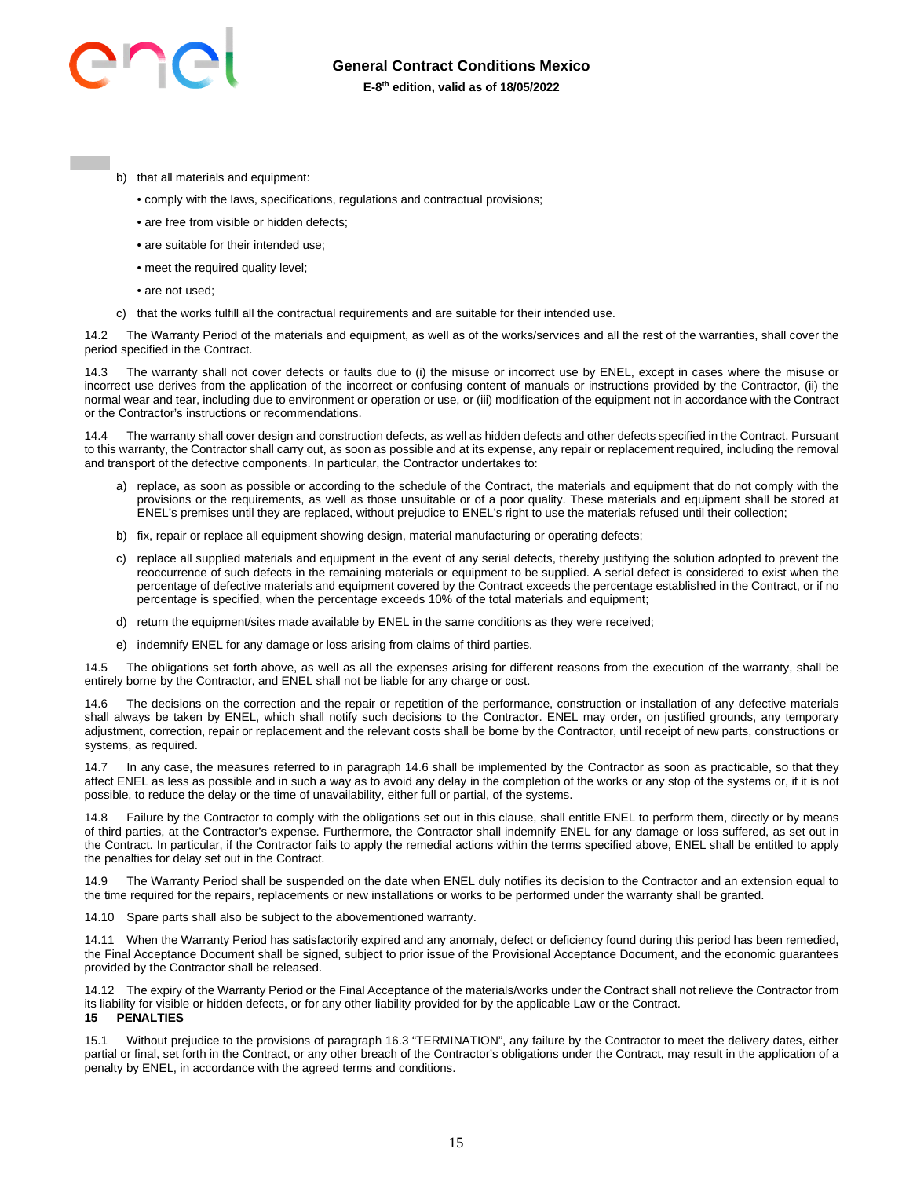## **General Contract Conditions Mexico**

## **E-8th edition, valid as of 18/05/2022**

- b) that all materials and equipment:
	- comply with the laws, specifications, regulations and contractual provisions;
	- are free from visible or hidden defects;
	- are suitable for their intended use:
	- meet the required quality level;
	- are not used;

c) that the works fulfill all the contractual requirements and are suitable for their intended use.

14.2 The Warranty Period of the materials and equipment, as well as of the works/services and all the rest of the warranties, shall cover the period specified in the Contract.

The warranty shall not cover defects or faults due to (i) the misuse or incorrect use by ENEL, except in cases where the misuse or incorrect use derives from the application of the incorrect or confusing content of manuals or instructions provided by the Contractor, (ii) the normal wear and tear, including due to environment or operation or use, or (iii) modification of the equipment not in accordance with the Contract or the Contractor's instructions or recommendations.

14.4 The warranty shall cover design and construction defects, as well as hidden defects and other defects specified in the Contract. Pursuant to this warranty, the Contractor shall carry out, as soon as possible and at its expense, any repair or replacement required, including the removal and transport of the defective components. In particular, the Contractor undertakes to:

- a) replace, as soon as possible or according to the schedule of the Contract, the materials and equipment that do not comply with the provisions or the requirements, as well as those unsuitable or of a poor quality. These materials and equipment shall be stored at ENEL's premises until they are replaced, without prejudice to ENEL's right to use the materials refused until their collection;
- b) fix, repair or replace all equipment showing design, material manufacturing or operating defects;
- c) replace all supplied materials and equipment in the event of any serial defects, thereby justifying the solution adopted to prevent the reoccurrence of such defects in the remaining materials or equipment to be supplied. A serial defect is considered to exist when the percentage of defective materials and equipment covered by the Contract exceeds the percentage established in the Contract, or if no percentage is specified, when the percentage exceeds 10% of the total materials and equipment;
- d) return the equipment/sites made available by ENEL in the same conditions as they were received;
- e) indemnify ENEL for any damage or loss arising from claims of third parties.

14.5 The obligations set forth above, as well as all the expenses arising for different reasons from the execution of the warranty, shall be entirely borne by the Contractor, and ENEL shall not be liable for any charge or cost.

14.6 The decisions on the correction and the repair or repetition of the performance, construction or installation of any defective materials shall always be taken by ENEL, which shall notify such decisions to the Contractor. ENEL may order, on justified grounds, any temporary adjustment, correction, repair or replacement and the relevant costs shall be borne by the Contractor, until receipt of new parts, constructions or systems, as required.

14.7 In any case, the measures referred to in paragraph 14.6 shall be implemented by the Contractor as soon as practicable, so that they affect ENEL as less as possible and in such a way as to avoid any delay in the completion of the works or any stop of the systems or, if it is not possible, to reduce the delay or the time of unavailability, either full or partial, of the systems.

14.8 Failure by the Contractor to comply with the obligations set out in this clause, shall entitle ENEL to perform them, directly or by means of third parties, at the Contractor's expense. Furthermore, the Contractor shall indemnify ENEL for any damage or loss suffered, as set out in the Contract. In particular, if the Contractor fails to apply the remedial actions within the terms specified above, ENEL shall be entitled to apply the penalties for delay set out in the Contract.

14.9 The Warranty Period shall be suspended on the date when ENEL duly notifies its decision to the Contractor and an extension equal to the time required for the repairs, replacements or new installations or works to be performed under the warranty shall be granted.

14.10 Spare parts shall also be subject to the abovementioned warranty.

14.11 When the Warranty Period has satisfactorily expired and any anomaly, defect or deficiency found during this period has been remedied, the Final Acceptance Document shall be signed, subject to prior issue of the Provisional Acceptance Document, and the economic guarantees provided by the Contractor shall be released.

14.12 The expiry of the Warranty Period or the Final Acceptance of the materials/works under the Contract shall not relieve the Contractor from its liability for visible or hidden defects, or for any other liability provided for by the applicable Law or the Contract. **15 PENALTIES** 

<span id="page-14-0"></span>15.1 Without prejudice to the provisions of paragraph 16.3 "TERMINATION", any failure by the Contractor to meet the delivery dates, either partial or final, set forth in the Contract, or any other breach of the Contractor's obligations under the Contract, may result in the application of a penalty by ENEL, in accordance with the agreed terms and conditions.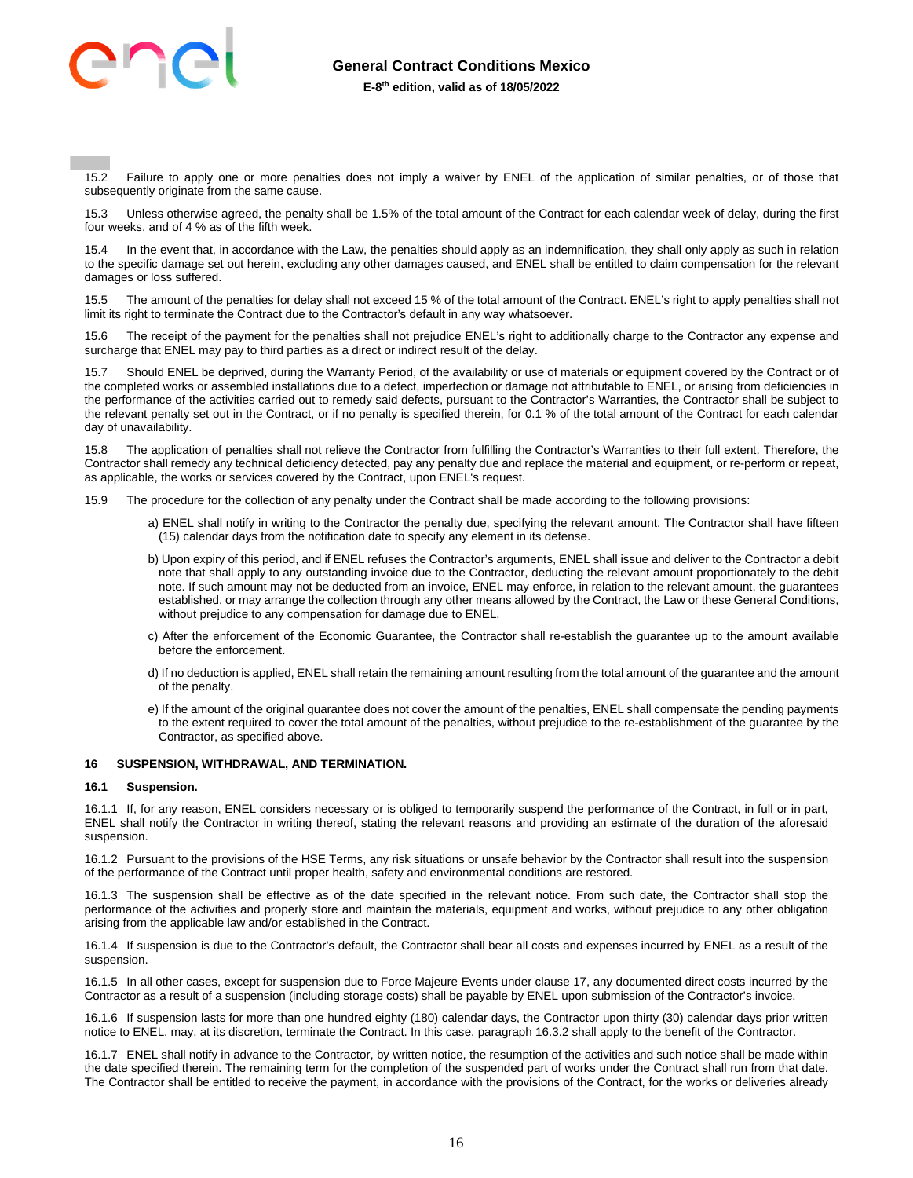

15.2 Failure to apply one or more penalties does not imply a waiver by ENEL of the application of similar penalties, or of those that subsequently originate from the same cause.

15.3 Unless otherwise agreed, the penalty shall be 1.5% of the total amount of the Contract for each calendar week of delay, during the first four weeks, and of 4 % as of the fifth week.

15.4 In the event that, in accordance with the Law, the penalties should apply as an indemnification, they shall only apply as such in relation to the specific damage set out herein, excluding any other damages caused, and ENEL shall be entitled to claim compensation for the relevant damages or loss suffered.

15.5 The amount of the penalties for delay shall not exceed 15 % of the total amount of the Contract. ENEL's right to apply penalties shall not limit its right to terminate the Contract due to the Contractor's default in any way whatsoever.

15.6 The receipt of the payment for the penalties shall not prejudice ENEL's right to additionally charge to the Contractor any expense and surcharge that ENEL may pay to third parties as a direct or indirect result of the delay.

Should ENEL be deprived, during the Warranty Period, of the availability or use of materials or equipment covered by the Contract or of the completed works or assembled installations due to a defect, imperfection or damage not attributable to ENEL, or arising from deficiencies in the performance of the activities carried out to remedy said defects, pursuant to the Contractor's Warranties, the Contractor shall be subject to the relevant penalty set out in the Contract, or if no penalty is specified therein, for 0.1 % of the total amount of the Contract for each calendar day of unavailability.

15.8 The application of penalties shall not relieve the Contractor from fulfilling the Contractor's Warranties to their full extent. Therefore, the Contractor shall remedy any technical deficiency detected, pay any penalty due and replace the material and equipment, or re-perform or repeat, as applicable, the works or services covered by the Contract, upon ENEL's request.

- 15.9 The procedure for the collection of any penalty under the Contract shall be made according to the following provisions:
	- a) ENEL shall notify in writing to the Contractor the penalty due, specifying the relevant amount. The Contractor shall have fifteen (15) calendar days from the notification date to specify any element in its defense.
	- b) Upon expiry of this period, and if ENEL refuses the Contractor's arguments, ENEL shall issue and deliver to the Contractor a debit note that shall apply to any outstanding invoice due to the Contractor, deducting the relevant amount proportionately to the debit note. If such amount may not be deducted from an invoice, ENEL may enforce, in relation to the relevant amount, the guarantees established, or may arrange the collection through any other means allowed by the Contract, the Law or these General Conditions, without prejudice to any compensation for damage due to ENEL.
	- c) After the enforcement of the Economic Guarantee, the Contractor shall re-establish the guarantee up to the amount available before the enforcement.
	- d) If no deduction is applied, ENEL shall retain the remaining amount resulting from the total amount of the guarantee and the amount of the penalty.
	- e) If the amount of the original guarantee does not cover the amount of the penalties, ENEL shall compensate the pending payments to the extent required to cover the total amount of the penalties, without prejudice to the re-establishment of the guarantee by the Contractor, as specified above.

## <span id="page-15-0"></span>**16 SUSPENSION, WITHDRAWAL, AND TERMINATION.**

#### **16.1 Suspension.**

16.1.1 If, for any reason, ENEL considers necessary or is obliged to temporarily suspend the performance of the Contract, in full or in part, ENEL shall notify the Contractor in writing thereof, stating the relevant reasons and providing an estimate of the duration of the aforesaid suspension.

16.1.2 Pursuant to the provisions of the HSE Terms, any risk situations or unsafe behavior by the Contractor shall result into the suspension of the performance of the Contract until proper health, safety and environmental conditions are restored.

16.1.3 The suspension shall be effective as of the date specified in the relevant notice. From such date, the Contractor shall stop the performance of the activities and properly store and maintain the materials, equipment and works, without prejudice to any other obligation arising from the applicable law and/or established in the Contract.

16.1.4 If suspension is due to the Contractor's default, the Contractor shall bear all costs and expenses incurred by ENEL as a result of the suspension.

16.1.5 In all other cases, except for suspension due to Force Majeure Events under clause 17, any documented direct costs incurred by the Contractor as a result of a suspension (including storage costs) shall be payable by ENEL upon submission of the Contractor's invoice.

16.1.6 If suspension lasts for more than one hundred eighty (180) calendar days, the Contractor upon thirty (30) calendar days prior written notice to ENEL, may, at its discretion, terminate the Contract. In this case, paragraph 16.3.2 shall apply to the benefit of the Contractor.

16.1.7 ENEL shall notify in advance to the Contractor, by written notice, the resumption of the activities and such notice shall be made within the date specified therein. The remaining term for the completion of the suspended part of works under the Contract shall run from that date. The Contractor shall be entitled to receive the payment, in accordance with the provisions of the Contract, for the works or deliveries already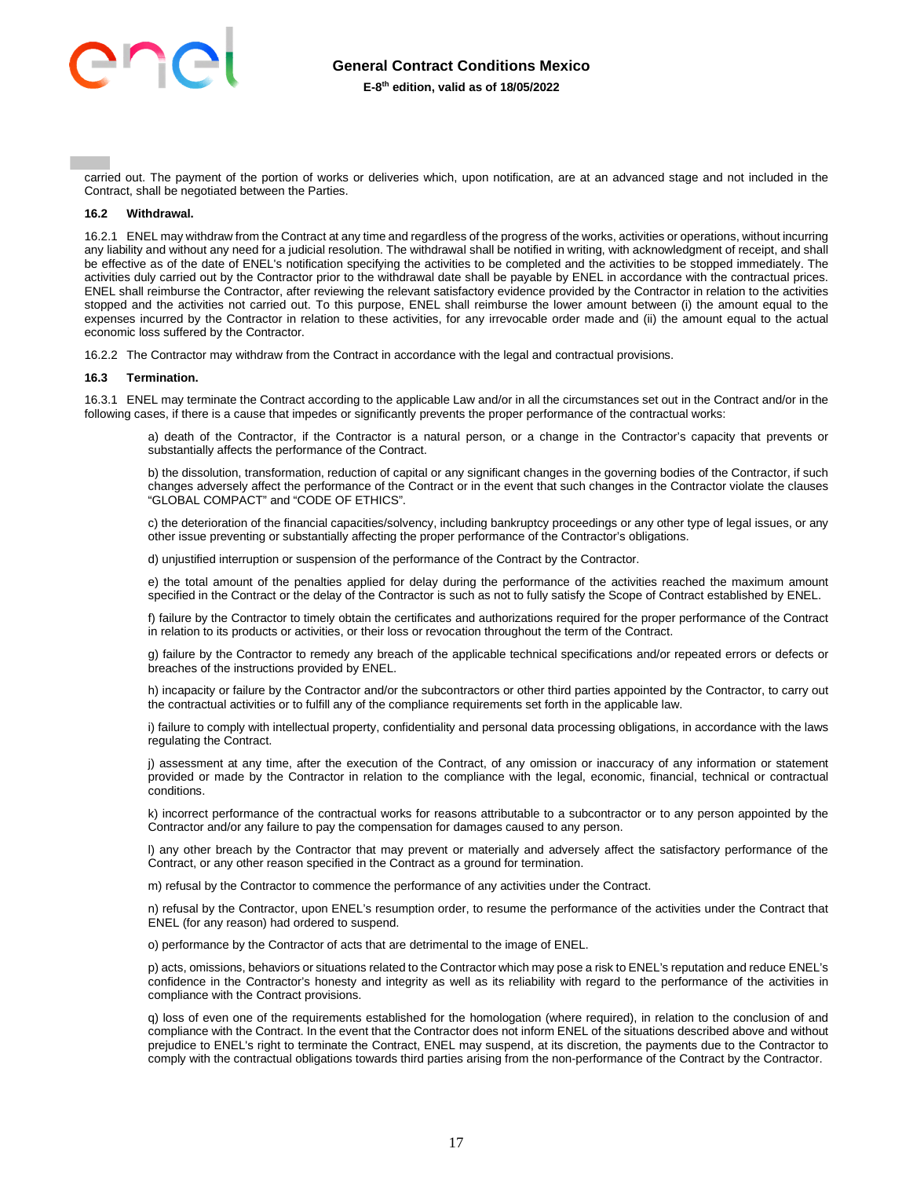

carried out. The payment of the portion of works or deliveries which, upon notification, are at an advanced stage and not included in the Contract, shall be negotiated between the Parties.

#### **16.2 Withdrawal.**

16.2.1 ENEL may withdraw from the Contract at any time and regardless of the progress of the works, activities or operations, without incurring any liability and without any need for a judicial resolution. The withdrawal shall be notified in writing, with acknowledgment of receipt, and shall be effective as of the date of ENEL's notification specifying the activities to be completed and the activities to be stopped immediately. The activities duly carried out by the Contractor prior to the withdrawal date shall be payable by ENEL in accordance with the contractual prices. ENEL shall reimburse the Contractor, after reviewing the relevant satisfactory evidence provided by the Contractor in relation to the activities stopped and the activities not carried out. To this purpose, ENEL shall reimburse the lower amount between (i) the amount equal to the expenses incurred by the Contractor in relation to these activities, for any irrevocable order made and (ii) the amount equal to the actual economic loss suffered by the Contractor.

16.2.2 The Contractor may withdraw from the Contract in accordance with the legal and contractual provisions.

#### **16.3 Termination.**

16.3.1 ENEL may terminate the Contract according to the applicable Law and/or in all the circumstances set out in the Contract and/or in the following cases, if there is a cause that impedes or significantly prevents the proper performance of the contractual works:

a) death of the Contractor, if the Contractor is a natural person, or a change in the Contractor's capacity that prevents or substantially affects the performance of the Contract.

b) the dissolution, transformation, reduction of capital or any significant changes in the governing bodies of the Contractor, if such changes adversely affect the performance of the Contract or in the event that such changes in the Contractor violate the clauses "GLOBAL COMPACT" and "CODE OF ETHICS".

c) the deterioration of the financial capacities/solvency, including bankruptcy proceedings or any other type of legal issues, or any other issue preventing or substantially affecting the proper performance of the Contractor's obligations.

d) unjustified interruption or suspension of the performance of the Contract by the Contractor.

e) the total amount of the penalties applied for delay during the performance of the activities reached the maximum amount specified in the Contract or the delay of the Contractor is such as not to fully satisfy the Scope of Contract established by ENEL.

f) failure by the Contractor to timely obtain the certificates and authorizations required for the proper performance of the Contract in relation to its products or activities, or their loss or revocation throughout the term of the Contract.

g) failure by the Contractor to remedy any breach of the applicable technical specifications and/or repeated errors or defects or breaches of the instructions provided by ENEL.

h) incapacity or failure by the Contractor and/or the subcontractors or other third parties appointed by the Contractor, to carry out the contractual activities or to fulfill any of the compliance requirements set forth in the applicable law.

i) failure to comply with intellectual property, confidentiality and personal data processing obligations, in accordance with the laws regulating the Contract.

j) assessment at any time, after the execution of the Contract, of any omission or inaccuracy of any information or statement provided or made by the Contractor in relation to the compliance with the legal, economic, financial, technical or contractual conditions.

k) incorrect performance of the contractual works for reasons attributable to a subcontractor or to any person appointed by the Contractor and/or any failure to pay the compensation for damages caused to any person.

l) any other breach by the Contractor that may prevent or materially and adversely affect the satisfactory performance of the Contract, or any other reason specified in the Contract as a ground for termination.

m) refusal by the Contractor to commence the performance of any activities under the Contract.

n) refusal by the Contractor, upon ENEL's resumption order, to resume the performance of the activities under the Contract that ENEL (for any reason) had ordered to suspend.

o) performance by the Contractor of acts that are detrimental to the image of ENEL.

p) acts, omissions, behaviors or situations related to the Contractor which may pose a risk to ENEL's reputation and reduce ENEL's confidence in the Contractor's honesty and integrity as well as its reliability with regard to the performance of the activities in compliance with the Contract provisions.

q) loss of even one of the requirements established for the homologation (where required), in relation to the conclusion of and compliance with the Contract. In the event that the Contractor does not inform ENEL of the situations described above and without prejudice to ENEL's right to terminate the Contract, ENEL may suspend, at its discretion, the payments due to the Contractor to comply with the contractual obligations towards third parties arising from the non-performance of the Contract by the Contractor.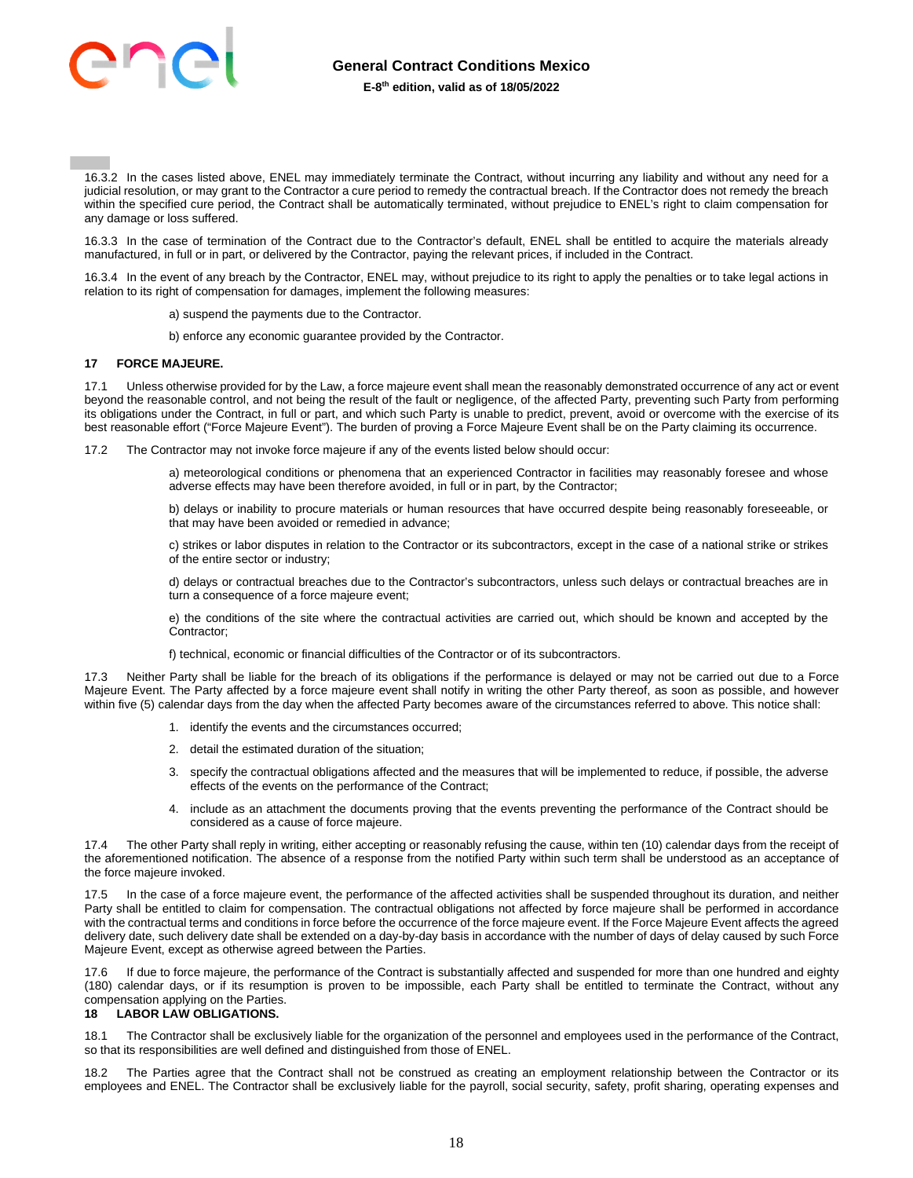

16.3.2 In the cases listed above, ENEL may immediately terminate the Contract, without incurring any liability and without any need for a judicial resolution, or may grant to the Contractor a cure period to remedy the contractual breach. If the Contractor does not remedy the breach within the specified cure period, the Contract shall be automatically terminated, without prejudice to ENEL's right to claim compensation for any damage or loss suffered.

16.3.3 In the case of termination of the Contract due to the Contractor's default, ENEL shall be entitled to acquire the materials already manufactured, in full or in part, or delivered by the Contractor, paying the relevant prices, if included in the Contract.

16.3.4 In the event of any breach by the Contractor, ENEL may, without prejudice to its right to apply the penalties or to take legal actions in relation to its right of compensation for damages, implement the following measures:

- a) suspend the payments due to the Contractor.
- b) enforce any economic guarantee provided by the Contractor.

#### <span id="page-17-0"></span>**17 FORCE MAJEURE.**

17.1 Unless otherwise provided for by the Law, a force majeure event shall mean the reasonably demonstrated occurrence of any act or event beyond the reasonable control, and not being the result of the fault or negligence, of the affected Party, preventing such Party from performing its obligations under the Contract, in full or part, and which such Party is unable to predict, prevent, avoid or overcome with the exercise of its best reasonable effort ("Force Majeure Event"). The burden of proving a Force Majeure Event shall be on the Party claiming its occurrence.

17.2 The Contractor may not invoke force majeure if any of the events listed below should occur:

a) meteorological conditions or phenomena that an experienced Contractor in facilities may reasonably foresee and whose adverse effects may have been therefore avoided, in full or in part, by the Contractor;

b) delays or inability to procure materials or human resources that have occurred despite being reasonably foreseeable, or that may have been avoided or remedied in advance;

c) strikes or labor disputes in relation to the Contractor or its subcontractors, except in the case of a national strike or strikes of the entire sector or industry;

d) delays or contractual breaches due to the Contractor's subcontractors, unless such delays or contractual breaches are in turn a consequence of a force majeure event;

e) the conditions of the site where the contractual activities are carried out, which should be known and accepted by the Contractor;

f) technical, economic or financial difficulties of the Contractor or of its subcontractors.

17.3 Neither Party shall be liable for the breach of its obligations if the performance is delayed or may not be carried out due to a Force Majeure Event. The Party affected by a force majeure event shall notify in writing the other Party thereof, as soon as possible, and however within five (5) calendar days from the day when the affected Party becomes aware of the circumstances referred to above. This notice shall:

- 1. identify the events and the circumstances occurred;
- 2. detail the estimated duration of the situation;
- 3. specify the contractual obligations affected and the measures that will be implemented to reduce, if possible, the adverse effects of the events on the performance of the Contract;
- 4. include as an attachment the documents proving that the events preventing the performance of the Contract should be considered as a cause of force majeure.

The other Party shall reply in writing, either accepting or reasonably refusing the cause, within ten (10) calendar days from the receipt of the aforementioned notification. The absence of a response from the notified Party within such term shall be understood as an acceptance of the force majeure invoked.

17.5 In the case of a force majeure event, the performance of the affected activities shall be suspended throughout its duration, and neither Party shall be entitled to claim for compensation. The contractual obligations not affected by force majeure shall be performed in accordance with the contractual terms and conditions in force before the occurrence of the force majeure event. If the Force Majeure Event affects the agreed delivery date, such delivery date shall be extended on a day-by-day basis in accordance with the number of days of delay caused by such Force Majeure Event, except as otherwise agreed between the Parties.

17.6 If due to force majeure, the performance of the Contract is substantially affected and suspended for more than one hundred and eighty (180) calendar days, or if its resumption is proven to be impossible, each Party shall be entitled to terminate the Contract, without any compensation applying on the Parties.

#### <span id="page-17-1"></span>**18 LABOR LAW OBLIGATIONS.**

18.1 The Contractor shall be exclusively liable for the organization of the personnel and employees used in the performance of the Contract, so that its responsibilities are well defined and distinguished from those of ENEL.

18.2 The Parties agree that the Contract shall not be construed as creating an employment relationship between the Contractor or its employees and ENEL. The Contractor shall be exclusively liable for the payroll, social security, safety, profit sharing, operating expenses and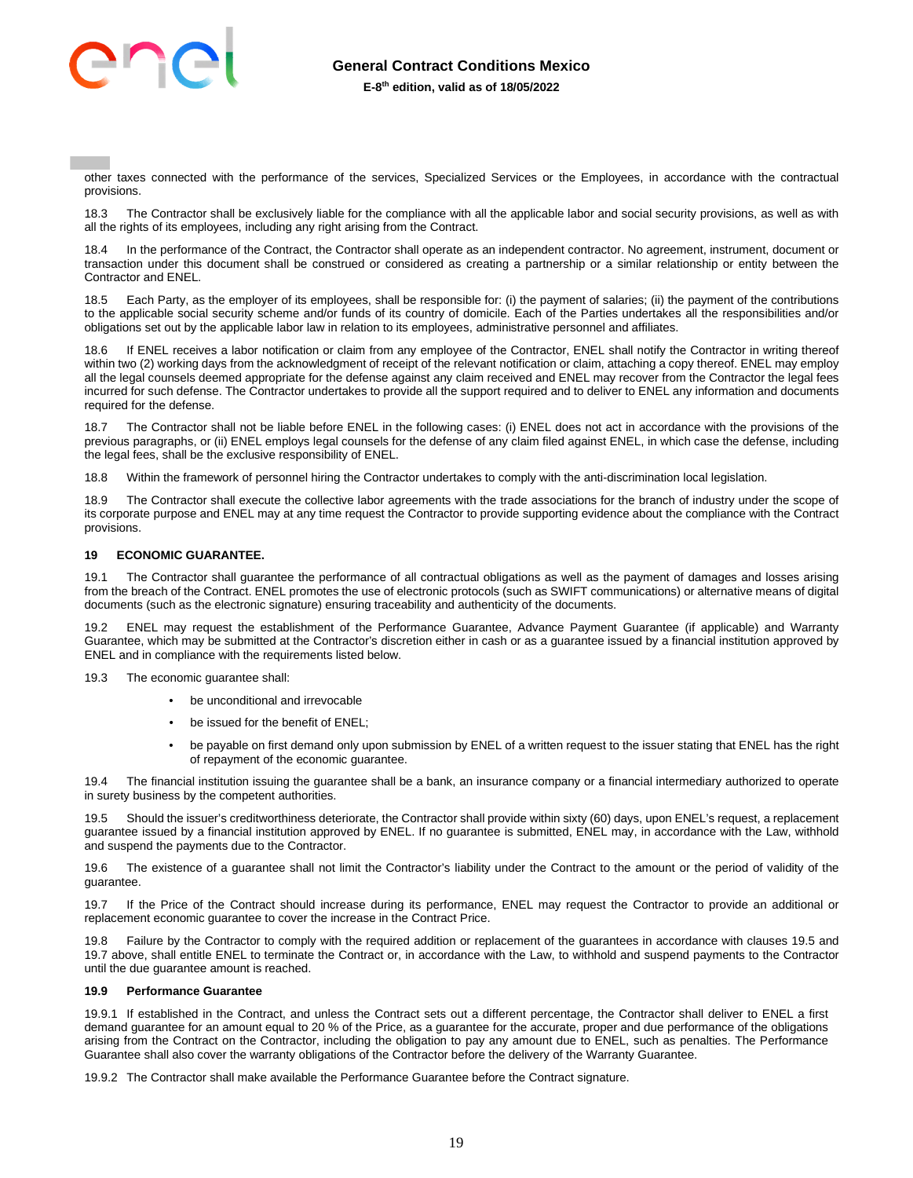

other taxes connected with the performance of the services, Specialized Services or the Employees, in accordance with the contractual provisions.

18.3 The Contractor shall be exclusively liable for the compliance with all the applicable labor and social security provisions, as well as with all the rights of its employees, including any right arising from the Contract.

In the performance of the Contract, the Contractor shall operate as an independent contractor. No agreement, instrument, document or transaction under this document shall be construed or considered as creating a partnership or a similar relationship or entity between the Contractor and ENEL.

18.5 Each Party, as the employer of its employees, shall be responsible for: (i) the payment of salaries; (ii) the payment of the contributions to the applicable social security scheme and/or funds of its country of domicile. Each of the Parties undertakes all the responsibilities and/or obligations set out by the applicable labor law in relation to its employees, administrative personnel and affiliates.

18.6 If ENEL receives a labor notification or claim from any employee of the Contractor, ENEL shall notify the Contractor in writing thereof within two (2) working days from the acknowledgment of receipt of the relevant notification or claim, attaching a copy thereof. ENEL may employ all the legal counsels deemed appropriate for the defense against any claim received and ENEL may recover from the Contractor the legal fees incurred for such defense. The Contractor undertakes to provide all the support required and to deliver to ENEL any information and documents required for the defense.

18.7 The Contractor shall not be liable before ENEL in the following cases: (i) ENEL does not act in accordance with the provisions of the previous paragraphs, or (ii) ENEL employs legal counsels for the defense of any claim filed against ENEL, in which case the defense, including the legal fees, shall be the exclusive responsibility of ENEL.

18.8 Within the framework of personnel hiring the Contractor undertakes to comply with the anti-discrimination local legislation.

18.9 The Contractor shall execute the collective labor agreements with the trade associations for the branch of industry under the scope of its corporate purpose and ENEL may at any time request the Contractor to provide supporting evidence about the compliance with the Contract provisions.

## <span id="page-18-0"></span>**19 ECONOMIC GUARANTEE.**

19.1 The Contractor shall guarantee the performance of all contractual obligations as well as the payment of damages and losses arising from the breach of the Contract. ENEL promotes the use of electronic protocols (such as SWIFT communications) or alternative means of digital documents (such as the electronic signature) ensuring traceability and authenticity of the documents.

19.2 ENEL may request the establishment of the Performance Guarantee, Advance Payment Guarantee (if applicable) and Warranty Guarantee, which may be submitted at the Contractor's discretion either in cash or as a guarantee issued by a financial institution approved by ENEL and in compliance with the requirements listed below.

19.3 The economic guarantee shall:

- be unconditional and irrevocable
- be issued for the benefit of ENEL;
- be payable on first demand only upon submission by ENEL of a written request to the issuer stating that ENEL has the right of repayment of the economic guarantee.

19.4 The financial institution issuing the guarantee shall be a bank, an insurance company or a financial intermediary authorized to operate in surety business by the competent authorities.

19.5 Should the issuer's creditworthiness deteriorate, the Contractor shall provide within sixty (60) days, upon ENEL's request, a replacement guarantee issued by a financial institution approved by ENEL. If no guarantee is submitted, ENEL may, in accordance with the Law, withhold and suspend the payments due to the Contractor.

19.6 The existence of a guarantee shall not limit the Contractor's liability under the Contract to the amount or the period of validity of the guarantee.

19.7 If the Price of the Contract should increase during its performance, ENEL may request the Contractor to provide an additional or replacement economic guarantee to cover the increase in the Contract Price.

19.8 Failure by the Contractor to comply with the required addition or replacement of the guarantees in accordance with clauses 19.5 and 19.7 above, shall entitle ENEL to terminate the Contract or, in accordance with the Law, to withhold and suspend payments to the Contractor until the due guarantee amount is reached.

#### **19.9 Performance Guarantee**

19.9.1 If established in the Contract, and unless the Contract sets out a different percentage, the Contractor shall deliver to ENEL a first demand guarantee for an amount equal to 20 % of the Price, as a guarantee for the accurate, proper and due performance of the obligations arising from the Contract on the Contractor, including the obligation to pay any amount due to ENEL, such as penalties. The Performance Guarantee shall also cover the warranty obligations of the Contractor before the delivery of the Warranty Guarantee.

19.9.2 The Contractor shall make available the Performance Guarantee before the Contract signature.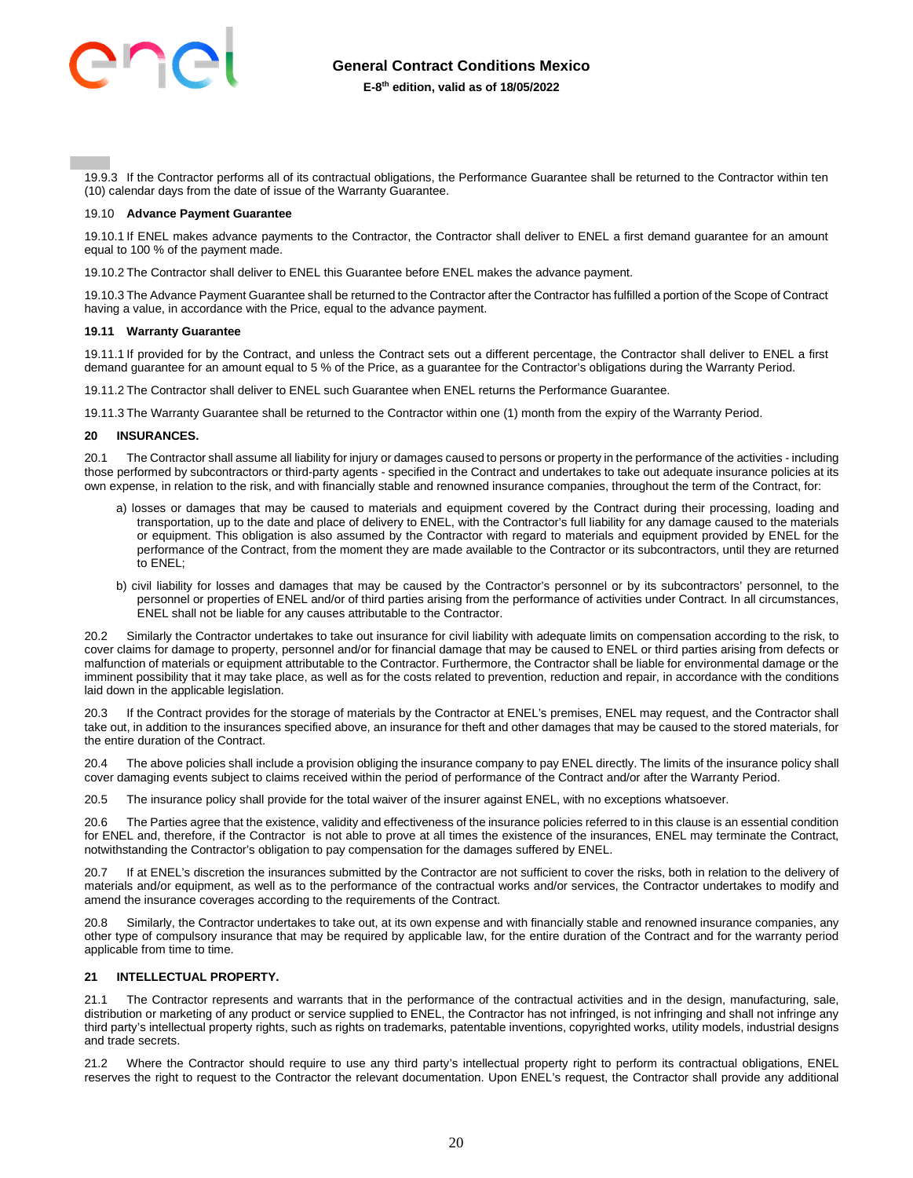

19.9.3 If the Contractor performs all of its contractual obligations, the Performance Guarantee shall be returned to the Contractor within ten (10) calendar days from the date of issue of the Warranty Guarantee.

#### 19.10 **Advance Payment Guarantee**

19.10.1 If ENEL makes advance payments to the Contractor, the Contractor shall deliver to ENEL a first demand guarantee for an amount equal to 100 % of the payment made.

19.10.2 The Contractor shall deliver to ENEL this Guarantee before ENEL makes the advance payment.

19.10.3 The Advance Payment Guarantee shall be returned to the Contractor after the Contractor has fulfilled a portion of the Scope of Contract having a value, in accordance with the Price, equal to the advance payment.

#### **19.11 Warranty Guarantee**

19.11.1 If provided for by the Contract, and unless the Contract sets out a different percentage, the Contractor shall deliver to ENEL a first demand guarantee for an amount equal to 5 % of the Price, as a guarantee for the Contractor's obligations during the Warranty Period.

19.11.2 The Contractor shall deliver to ENEL such Guarantee when ENEL returns the Performance Guarantee.

19.11.3 The Warranty Guarantee shall be returned to the Contractor within one (1) month from the expiry of the Warranty Period.

#### <span id="page-19-0"></span>**20 INSURANCES.**

20.1 The Contractor shall assume all liability for injury or damages caused to persons or property in the performance of the activities - including those performed by subcontractors or third-party agents - specified in the Contract and undertakes to take out adequate insurance policies at its own expense, in relation to the risk, and with financially stable and renowned insurance companies, throughout the term of the Contract, for:

- a) losses or damages that may be caused to materials and equipment covered by the Contract during their processing, loading and transportation, up to the date and place of delivery to ENEL, with the Contractor's full liability for any damage caused to the materials or equipment. This obligation is also assumed by the Contractor with regard to materials and equipment provided by ENEL for the performance of the Contract, from the moment they are made available to the Contractor or its subcontractors, until they are returned to **FNFI** :
- b) civil liability for losses and damages that may be caused by the Contractor's personnel or by its subcontractors' personnel, to the personnel or properties of ENEL and/or of third parties arising from the performance of activities under Contract. In all circumstances, ENEL shall not be liable for any causes attributable to the Contractor.

20.2 Similarly the Contractor undertakes to take out insurance for civil liability with adequate limits on compensation according to the risk, to cover claims for damage to property, personnel and/or for financial damage that may be caused to ENEL or third parties arising from defects or malfunction of materials or equipment attributable to the Contractor. Furthermore, the Contractor shall be liable for environmental damage or the imminent possibility that it may take place, as well as for the costs related to prevention, reduction and repair, in accordance with the conditions laid down in the applicable legislation.

20.3 If the Contract provides for the storage of materials by the Contractor at ENEL's premises, ENEL may request, and the Contractor shall take out, in addition to the insurances specified above, an insurance for theft and other damages that may be caused to the stored materials, for the entire duration of the Contract.

20.4 The above policies shall include a provision obliging the insurance company to pay ENEL directly. The limits of the insurance policy shall cover damaging events subject to claims received within the period of performance of the Contract and/or after the Warranty Period.

20.5 The insurance policy shall provide for the total waiver of the insurer against ENEL, with no exceptions whatsoever.

20.6 The Parties agree that the existence, validity and effectiveness of the insurance policies referred to in this clause is an essential condition for ENEL and, therefore, if the Contractor is not able to prove at all times the existence of the insurances, ENEL may terminate the Contract, notwithstanding the Contractor's obligation to pay compensation for the damages suffered by ENEL.

20.7 If at ENEL's discretion the insurances submitted by the Contractor are not sufficient to cover the risks, both in relation to the delivery of materials and/or equipment, as well as to the performance of the contractual works and/or services, the Contractor undertakes to modify and amend the insurance coverages according to the requirements of the Contract.

20.8 Similarly, the Contractor undertakes to take out, at its own expense and with financially stable and renowned insurance companies, any other type of compulsory insurance that may be required by applicable law, for the entire duration of the Contract and for the warranty period applicable from time to time.

## <span id="page-19-1"></span>**21 INTELLECTUAL PROPERTY.**

21.1 The Contractor represents and warrants that in the performance of the contractual activities and in the design, manufacturing, sale, distribution or marketing of any product or service supplied to ENEL, the Contractor has not infringed, is not infringing and shall not infringe any third party's intellectual property rights, such as rights on trademarks, patentable inventions, copyrighted works, utility models, industrial designs and trade secrets.

21.2 Where the Contractor should require to use any third party's intellectual property right to perform its contractual obligations, ENEL reserves the right to request to the Contractor the relevant documentation. Upon ENEL's request, the Contractor shall provide any additional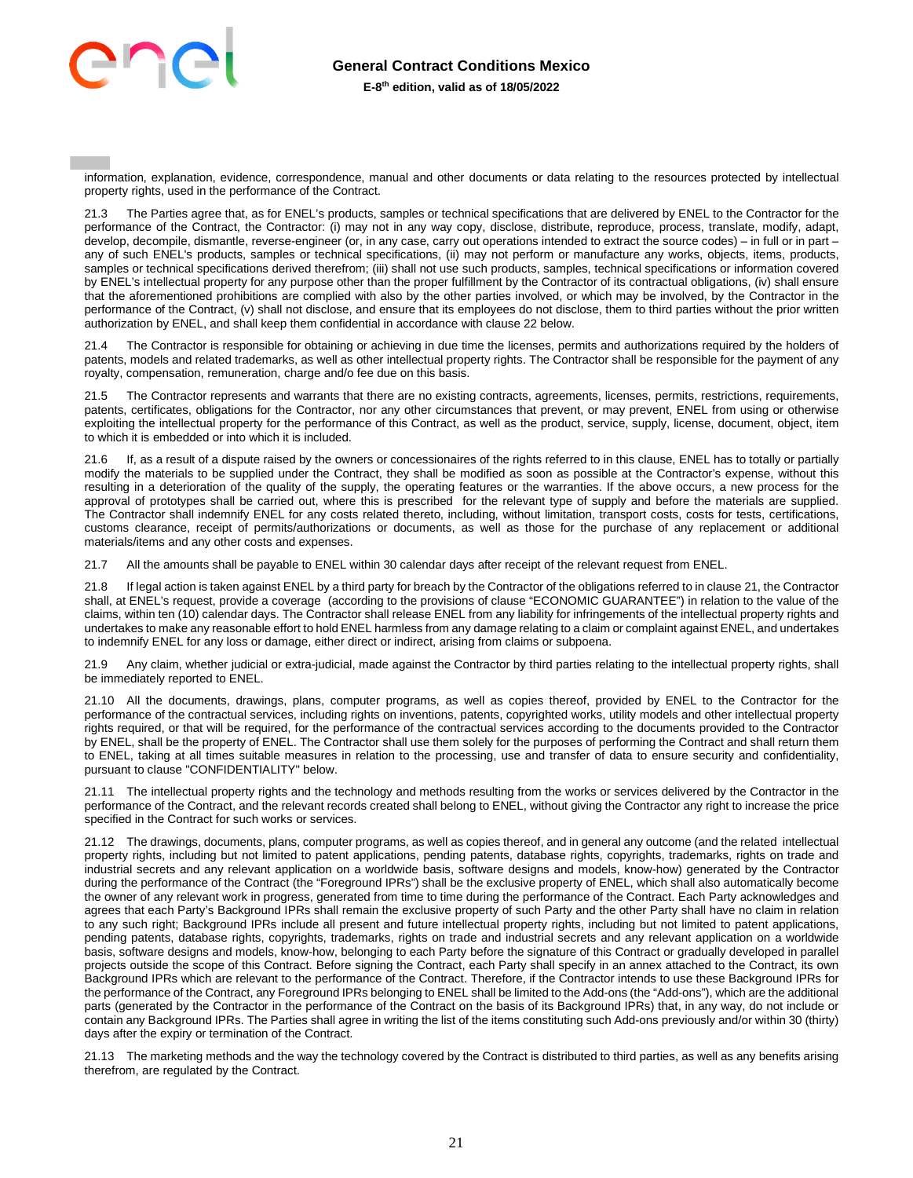

information, explanation, evidence, correspondence, manual and other documents or data relating to the resources protected by intellectual property rights, used in the performance of the Contract.

21.3 The Parties agree that, as for ENEL's products, samples or technical specifications that are delivered by ENEL to the Contractor for the performance of the Contract, the Contractor: (i) may not in any way copy, disclose, distribute, reproduce, process, translate, modify, adapt, develop, decompile, dismantle, reverse-engineer (or, in any case, carry out operations intended to extract the source codes) – in full or in part – any of such ENEL's products, samples or technical specifications, (ii) may not perform or manufacture any works, objects, items, products, samples or technical specifications derived therefrom; (iii) shall not use such products, samples, technical specifications or information covered by ENEL's intellectual property for any purpose other than the proper fulfillment by the Contractor of its contractual obligations, (iv) shall ensure that the aforementioned prohibitions are complied with also by the other parties involved, or which may be involved, by the Contractor in the performance of the Contract, (v) shall not disclose, and ensure that its employees do not disclose, them to third parties without the prior written authorization by ENEL, and shall keep them confidential in accordance with clause 22 below.

21.4 The Contractor is responsible for obtaining or achieving in due time the licenses, permits and authorizations required by the holders of patents, models and related trademarks, as well as other intellectual property rights. The Contractor shall be responsible for the payment of any royalty, compensation, remuneration, charge and/o fee due on this basis.

21.5 The Contractor represents and warrants that there are no existing contracts, agreements, licenses, permits, restrictions, requirements, patents, certificates, obligations for the Contractor, nor any other circumstances that prevent, or may prevent, ENEL from using or otherwise exploiting the intellectual property for the performance of this Contract, as well as the product, service, supply, license, document, object, item to which it is embedded or into which it is included.

21.6 If, as a result of a dispute raised by the owners or concessionaires of the rights referred to in this clause, ENEL has to totally or partially modify the materials to be supplied under the Contract, they shall be modified as soon as possible at the Contractor's expense, without this resulting in a deterioration of the quality of the supply, the operating features or the warranties. If the above occurs, a new process for the approval of prototypes shall be carried out, where this is prescribed for the relevant type of supply and before the materials are supplied. The Contractor shall indemnify ENEL for any costs related thereto, including, without limitation, transport costs, costs for tests, certifications, customs clearance, receipt of permits/authorizations or documents, as well as those for the purchase of any replacement or additional materials/items and any other costs and expenses.

21.7 All the amounts shall be payable to ENEL within 30 calendar days after receipt of the relevant request from ENEL.

21.8 If legal action is taken against ENEL by a third party for breach by the Contractor of the obligations referred to in clause 21, the Contractor shall, at ENEL's request, provide a coverage (according to the provisions of clause "ECONOMIC GUARANTEE") in relation to the value of the claims, within ten (10) calendar days. The Contractor shall release ENEL from any liability for infringements of the intellectual property rights and undertakes to make any reasonable effort to hold ENEL harmless from any damage relating to a claim or complaint against ENEL, and undertakes to indemnify ENEL for any loss or damage, either direct or indirect, arising from claims or subpoena.

21.9 Any claim, whether judicial or extra-judicial, made against the Contractor by third parties relating to the intellectual property rights, shall be immediately reported to ENEL.

21.10 All the documents, drawings, plans, computer programs, as well as copies thereof, provided by ENEL to the Contractor for the performance of the contractual services, including rights on inventions, patents, copyrighted works, utility models and other intellectual property rights required, or that will be required, for the performance of the contractual services according to the documents provided to the Contractor by ENEL, shall be the property of ENEL. The Contractor shall use them solely for the purposes of performing the Contract and shall return them to ENEL, taking at all times suitable measures in relation to the processing, use and transfer of data to ensure security and confidentiality, pursuant to clause "CONFIDENTIALITY" below.

21.11 The intellectual property rights and the technology and methods resulting from the works or services delivered by the Contractor in the performance of the Contract, and the relevant records created shall belong to ENEL, without giving the Contractor any right to increase the price specified in the Contract for such works or services.

21.12 The drawings, documents, plans, computer programs, as well as copies thereof, and in general any outcome (and the related intellectual property rights, including but not limited to patent applications, pending patents, database rights, copyrights, trademarks, rights on trade and industrial secrets and any relevant application on a worldwide basis, software designs and models, know-how) generated by the Contractor during the performance of the Contract (the "Foreground IPRs") shall be the exclusive property of ENEL, which shall also automatically become the owner of any relevant work in progress, generated from time to time during the performance of the Contract. Each Party acknowledges and agrees that each Party's Background IPRs shall remain the exclusive property of such Party and the other Party shall have no claim in relation to any such right; Background IPRs include all present and future intellectual property rights, including but not limited to patent applications, pending patents, database rights, copyrights, trademarks, rights on trade and industrial secrets and any relevant application on a worldwide basis, software designs and models, know-how, belonging to each Party before the signature of this Contract or gradually developed in parallel projects outside the scope of this Contract. Before signing the Contract, each Party shall specify in an annex attached to the Contract, its own Background IPRs which are relevant to the performance of the Contract. Therefore, if the Contractor intends to use these Background IPRs for the performance of the Contract, any Foreground IPRs belonging to ENEL shall be limited to the Add-ons (the "Add-ons"), which are the additional parts (generated by the Contractor in the performance of the Contract on the basis of its Background IPRs) that, in any way, do not include or contain any Background IPRs. The Parties shall agree in writing the list of the items constituting such Add-ons previously and/or within 30 (thirty) days after the expiry or termination of the Contract.

21.13 The marketing methods and the way the technology covered by the Contract is distributed to third parties, as well as any benefits arising therefrom, are regulated by the Contract.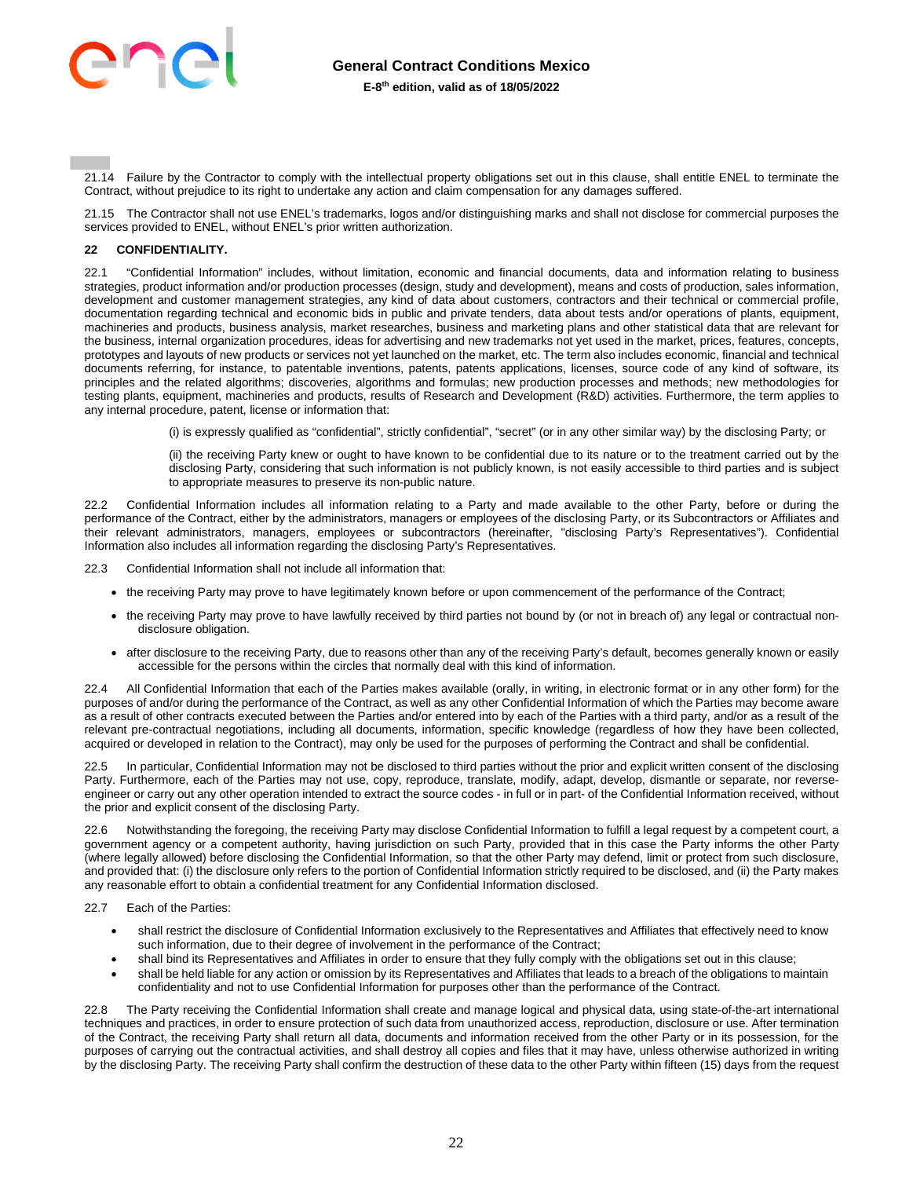

21.14 Failure by the Contractor to comply with the intellectual property obligations set out in this clause, shall entitle ENEL to terminate the Contract, without prejudice to its right to undertake any action and claim compensation for any damages suffered.

21.15 The Contractor shall not use ENEL's trademarks, logos and/or distinguishing marks and shall not disclose for commercial purposes the services provided to ENEL, without ENEL's prior written authorization.

## <span id="page-21-0"></span>**22 CONFIDENTIALITY.**

22.1 "Confidential Information" includes, without limitation, economic and financial documents, data and information relating to business strategies, product information and/or production processes (design, study and development), means and costs of production, sales information, development and customer management strategies, any kind of data about customers, contractors and their technical or commercial profile, documentation regarding technical and economic bids in public and private tenders, data about tests and/or operations of plants, equipment, machineries and products, business analysis, market researches, business and marketing plans and other statistical data that are relevant for the business, internal organization procedures, ideas for advertising and new trademarks not yet used in the market, prices, features, concepts, prototypes and layouts of new products or services not yet launched on the market, etc. The term also includes economic, financial and technical documents referring, for instance, to patentable inventions, patents, patents applications, licenses, source code of any kind of software, its principles and the related algorithms; discoveries, algorithms and formulas; new production processes and methods; new methodologies for testing plants, equipment, machineries and products, results of Research and Development (R&D) activities. Furthermore, the term applies to any internal procedure, patent, license or information that:

(i) is expressly qualified as "confidential", strictly confidential", "secret" (or in any other similar way) by the disclosing Party; or

(ii) the receiving Party knew or ought to have known to be confidential due to its nature or to the treatment carried out by the disclosing Party, considering that such information is not publicly known, is not easily accessible to third parties and is subject to appropriate measures to preserve its non-public nature.

22.2 Confidential Information includes all information relating to a Party and made available to the other Party, before or during the performance of the Contract, either by the administrators, managers or employees of the disclosing Party, or its Subcontractors or Affiliates and their relevant administrators, managers, employees or subcontractors (hereinafter, "disclosing Party's Representatives"). Confidential Information also includes all information regarding the disclosing Party's Representatives.

22.3 Confidential Information shall not include all information that:

- the receiving Party may prove to have legitimately known before or upon commencement of the performance of the Contract;
- the receiving Party may prove to have lawfully received by third parties not bound by (or not in breach of) any legal or contractual nondisclosure obligation.
- after disclosure to the receiving Party, due to reasons other than any of the receiving Party's default, becomes generally known or easily accessible for the persons within the circles that normally deal with this kind of information.

22.4 All Confidential Information that each of the Parties makes available (orally, in writing, in electronic format or in any other form) for the purposes of and/or during the performance of the Contract, as well as any other Confidential Information of which the Parties may become aware as a result of other contracts executed between the Parties and/or entered into by each of the Parties with a third party, and/or as a result of the relevant pre-contractual negotiations, including all documents, information, specific knowledge (regardless of how they have been collected, acquired or developed in relation to the Contract), may only be used for the purposes of performing the Contract and shall be confidential.

22.5 In particular, Confidential Information may not be disclosed to third parties without the prior and explicit written consent of the disclosing Party. Furthermore, each of the Parties may not use, copy, reproduce, translate, modify, adapt, develop, dismantle or separate, nor reverseengineer or carry out any other operation intended to extract the source codes - in full or in part- of the Confidential Information received, without the prior and explicit consent of the disclosing Party.

22.6 Notwithstanding the foregoing, the receiving Party may disclose Confidential Information to fulfill a legal request by a competent court, a government agency or a competent authority, having jurisdiction on such Party, provided that in this case the Party informs the other Party (where legally allowed) before disclosing the Confidential Information, so that the other Party may defend, limit or protect from such disclosure, and provided that: (i) the disclosure only refers to the portion of Confidential Information strictly required to be disclosed, and (ii) the Party makes any reasonable effort to obtain a confidential treatment for any Confidential Information disclosed.

22.7 Each of the Parties:

- shall restrict the disclosure of Confidential Information exclusively to the Representatives and Affiliates that effectively need to know such information, due to their degree of involvement in the performance of the Contract;
- shall bind its Representatives and Affiliates in order to ensure that they fully comply with the obligations set out in this clause;
- shall be held liable for any action or omission by its Representatives and Affiliates that leads to a breach of the obligations to maintain confidentiality and not to use Confidential Information for purposes other than the performance of the Contract.

22.8 The Party receiving the Confidential Information shall create and manage logical and physical data, using state-of-the-art international techniques and practices, in order to ensure protection of such data from unauthorized access, reproduction, disclosure or use. After termination of the Contract, the receiving Party shall return all data, documents and information received from the other Party or in its possession, for the purposes of carrying out the contractual activities, and shall destroy all copies and files that it may have, unless otherwise authorized in writing by the disclosing Party. The receiving Party shall confirm the destruction of these data to the other Party within fifteen (15) days from the request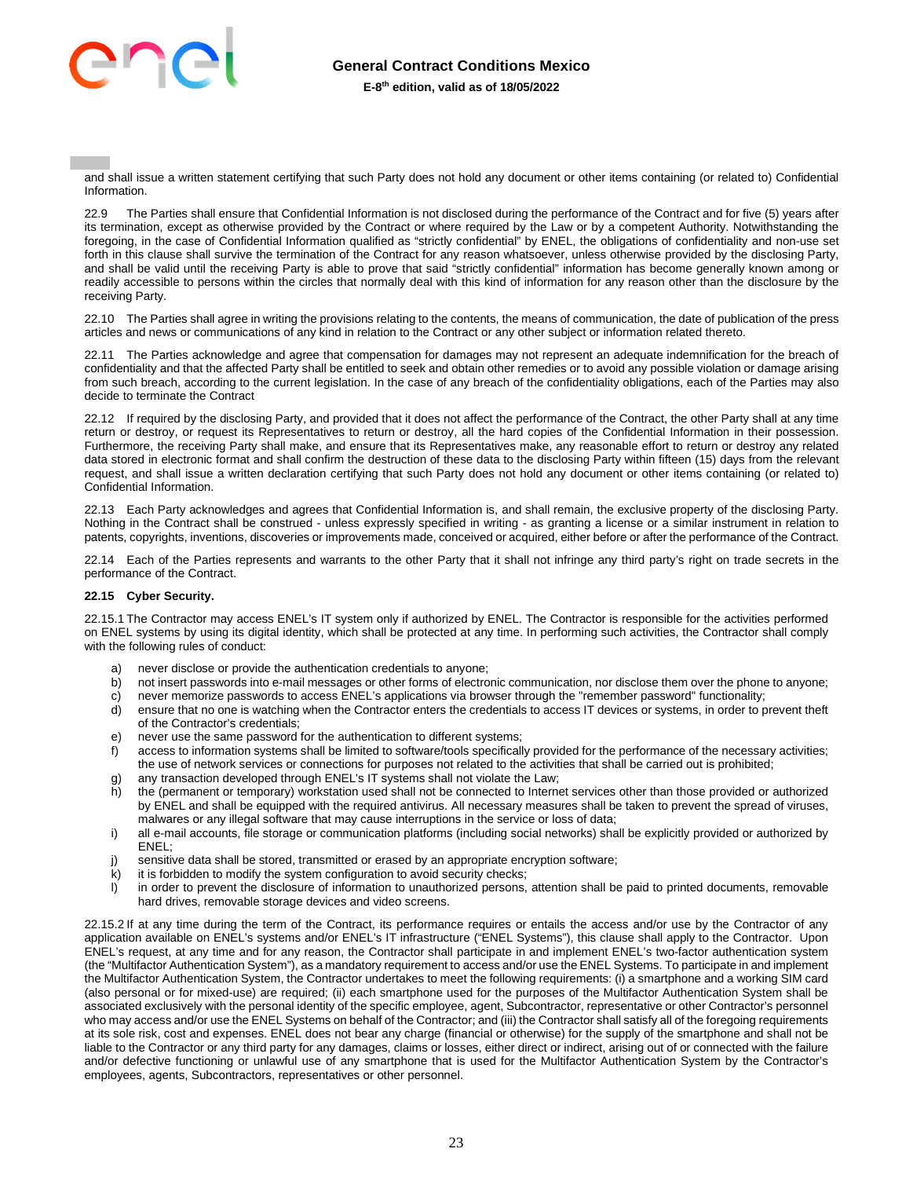

and shall issue a written statement certifying that such Party does not hold any document or other items containing (or related to) Confidential Information.

22.9 The Parties shall ensure that Confidential Information is not disclosed during the performance of the Contract and for five (5) years after its termination, except as otherwise provided by the Contract or where required by the Law or by a competent Authority. Notwithstanding the foregoing, in the case of Confidential Information qualified as "strictly confidential" by ENEL, the obligations of confidentiality and non-use set forth in this clause shall survive the termination of the Contract for any reason whatsoever, unless otherwise provided by the disclosing Party, and shall be valid until the receiving Party is able to prove that said "strictly confidential" information has become generally known among or readily accessible to persons within the circles that normally deal with this kind of information for any reason other than the disclosure by the receiving Party.

22.10 The Parties shall agree in writing the provisions relating to the contents, the means of communication, the date of publication of the press articles and news or communications of any kind in relation to the Contract or any other subject or information related thereto.

22.11 The Parties acknowledge and agree that compensation for damages may not represent an adequate indemnification for the breach of confidentiality and that the affected Party shall be entitled to seek and obtain other remedies or to avoid any possible violation or damage arising from such breach, according to the current legislation. In the case of any breach of the confidentiality obligations, each of the Parties may also decide to terminate the Contract

22.12 If required by the disclosing Party, and provided that it does not affect the performance of the Contract, the other Party shall at any time return or destroy, or request its Representatives to return or destroy, all the hard copies of the Confidential Information in their possession. Furthermore, the receiving Party shall make, and ensure that its Representatives make, any reasonable effort to return or destroy any related data stored in electronic format and shall confirm the destruction of these data to the disclosing Party within fifteen (15) days from the relevant request, and shall issue a written declaration certifying that such Party does not hold any document or other items containing (or related to) Confidential Information.

22.13 Each Party acknowledges and agrees that Confidential Information is, and shall remain, the exclusive property of the disclosing Party. Nothing in the Contract shall be construed - unless expressly specified in writing - as granting a license or a similar instrument in relation to patents, copyrights, inventions, discoveries or improvements made, conceived or acquired, either before or after the performance of the Contract.

22.14 Each of the Parties represents and warrants to the other Party that it shall not infringe any third party's right on trade secrets in the performance of the Contract.

## **22.15 Cyber Security.**

22.15.1 The Contractor may access ENEL's IT system only if authorized by ENEL. The Contractor is responsible for the activities performed on ENEL systems by using its digital identity, which shall be protected at any time. In performing such activities, the Contractor shall comply with the following rules of conduct:

- a) never disclose or provide the authentication credentials to anyone;
- b) not insert passwords into e-mail messages or other forms of electronic communication, nor disclose them over the phone to anyone;
- c) never memorize passwords to access ENEL's applications via browser through the "remember password" functionality;
- d) ensure that no one is watching when the Contractor enters the credentials to access IT devices or systems, in order to prevent theft of the Contractor's credentials;
- e) never use the same password for the authentication to different systems;
- f) access to information systems shall be limited to software/tools specifically provided for the performance of the necessary activities; the use of network services or connections for purposes not related to the activities that shall be carried out is prohibited;
- g) any transaction developed through ENEL's IT systems shall not violate the Law; h) the (permanent or temporary) workstation used shall not be connected to Internet services other than those provided or authorized by ENEL and shall be equipped with the required antivirus. All necessary measures shall be taken to prevent the spread of viruses, malwares or any illegal software that may cause interruptions in the service or loss of data;
- i) all e-mail accounts, file storage or communication platforms (including social networks) shall be explicitly provided or authorized by ENEL;
- j) sensitive data shall be stored, transmitted or erased by an appropriate encryption software;
- k) it is forbidden to modify the system configuration to avoid security checks;
- l) in order to prevent the disclosure of information to unauthorized persons, attention shall be paid to printed documents, removable hard drives, removable storage devices and video screens.

22.15.2 If at any time during the term of the Contract, its performance requires or entails the access and/or use by the Contractor of any application available on ENEL's systems and/or ENEL's IT infrastructure ("ENEL Systems"), this clause shall apply to the Contractor. Upon ENEL's request, at any time and for any reason, the Contractor shall participate in and implement ENEL's two-factor authentication system (the "Multifactor Authentication System"), as a mandatory requirement to access and/or use the ENEL Systems. To participate in and implement the Multifactor Authentication System, the Contractor undertakes to meet the following requirements: (i) a smartphone and a working SIM card (also personal or for mixed-use) are required; (ii) each smartphone used for the purposes of the Multifactor Authentication System shall be associated exclusively with the personal identity of the specific employee, agent, Subcontractor, representative or other Contractor's personnel who may access and/or use the ENEL Systems on behalf of the Contractor; and (iii) the Contractor shall satisfy all of the foregoing requirements at its sole risk, cost and expenses. ENEL does not bear any charge (financial or otherwise) for the supply of the smartphone and shall not be liable to the Contractor or any third party for any damages, claims or losses, either direct or indirect, arising out of or connected with the failure and/or defective functioning or unlawful use of any smartphone that is used for the Multifactor Authentication System by the Contractor's employees, agents, Subcontractors, representatives or other personnel.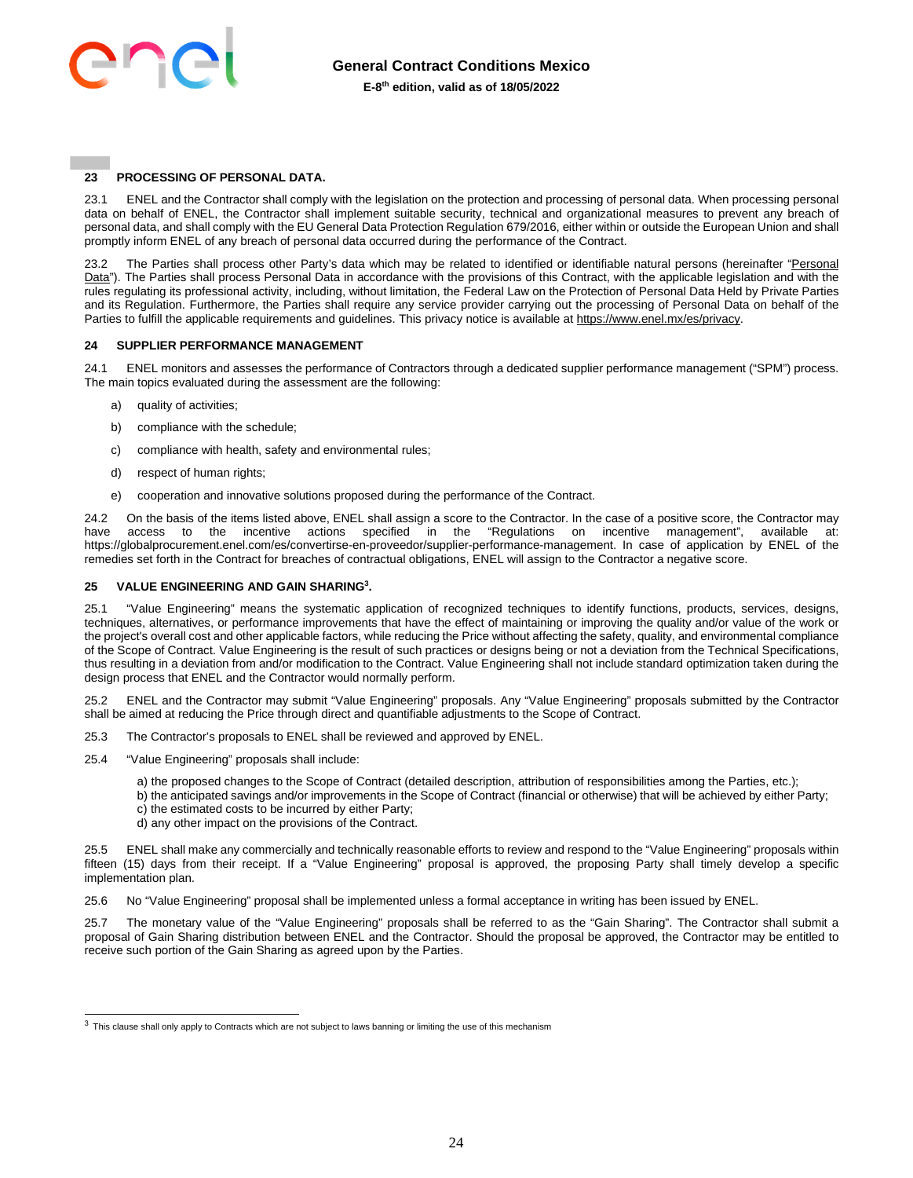

## <span id="page-23-0"></span>**23 PROCESSING OF PERSONAL DATA.**

23.1 ENEL and the Contractor shall comply with the legislation on the protection and processing of personal data. When processing personal data on behalf of ENEL, the Contractor shall implement suitable security, technical and organizational measures to prevent any breach of personal data, and shall comply with the EU General Data Protection Regulation 679/2016, either within or outside the European Union and shall promptly inform ENEL of any breach of personal data occurred during the performance of the Contract.

23.2 The Parties shall process other Party's data which may be related to identified or identifiable natural persons (hereinafter "Personal Data"). The Parties shall process Personal Data in accordance with the provisions of this Contract, with the applicable legislation and with the rules regulating its professional activity, including, without limitation, the Federal Law on the Protection of Personal Data Held by Private Parties and its Regulation. Furthermore, the Parties shall require any service provider carrying out the processing of Personal Data on behalf of the Parties to fulfill the applicable requirements and guidelines. This privacy notice is available a[t https://www.enel.mx/es/privacy.](https://www.enel.mx/es/privacy) 

## <span id="page-23-1"></span>**24 SUPPLIER PERFORMANCE MANAGEMENT**

24.1 ENEL monitors and assesses the performance of Contractors through a dedicated supplier performance management ("SPM") process. The main topics evaluated during the assessment are the following:

- a) quality of activities:
- b) compliance with the schedule;
- c) compliance with health, safety and environmental rules;
- d) respect of human rights;
- e) cooperation and innovative solutions proposed during the performance of the Contract.

24.2 On the basis of the items listed above, ENEL shall assign a score to the Contractor. In the case of a positive score, the Contractor may have access to the incentive actions specified in the "Regulations on incentive management", available at: https://globalprocurement.enel.com/es/convertirse-en-proveedor/supplier-performance-management. In case of application by ENEL of the remedies set forth in the Contract for breaches of contractual obligations, ENEL will assign to the Contractor a negative score.

#### <span id="page-23-2"></span>**25 VALUE ENGINEERING AND GAIN SHARING<sup>3</sup> .**

25.1 "Value Engineering" means the systematic application of recognized techniques to identify functions, products, services, designs, techniques, alternatives, or performance improvements that have the effect of maintaining or improving the quality and/or value of the work or the project's overall cost and other applicable factors, while reducing the Price without affecting the safety, quality, and environmental compliance of the Scope of Contract. Value Engineering is the result of such practices or designs being or not a deviation from the Technical Specifications, thus resulting in a deviation from and/or modification to the Contract. Value Engineering shall not include standard optimization taken during the design process that ENEL and the Contractor would normally perform.

25.2 ENEL and the Contractor may submit "Value Engineering" proposals. Any "Value Engineering" proposals submitted by the Contractor shall be aimed at reducing the Price through direct and quantifiable adjustments to the Scope of Contract.

- 25.3 The Contractor's proposals to ENEL shall be reviewed and approved by ENEL.
- 25.4 "Value Engineering" proposals shall include:
	- a) the proposed changes to the Scope of Contract (detailed description, attribution of responsibilities among the Parties, etc.);
	- b) the anticipated savings and/or improvements in the Scope of Contract (financial or otherwise) that will be achieved by either Party;
	- c) the estimated costs to be incurred by either Party;
	- d) any other impact on the provisions of the Contract.

25.5 ENEL shall make any commercially and technically reasonable efforts to review and respond to the "Value Engineering" proposals within fifteen (15) days from their receipt. If a "Value Engineering" proposal is approved, the proposing Party shall timely develop a specific implementation plan.

25.6 No "Value Engineering" proposal shall be implemented unless a formal acceptance in writing has been issued by ENEL.

25.7 The monetary value of the "Value Engineering" proposals shall be referred to as the "Gain Sharing". The Contractor shall submit a proposal of Gain Sharing distribution between ENEL and the Contractor. Should the proposal be approved, the Contractor may be entitled to receive such portion of the Gain Sharing as agreed upon by the Parties.

 $3$  This clause shall only apply to Contracts which are not subject to laws banning or limiting the use of this mechanism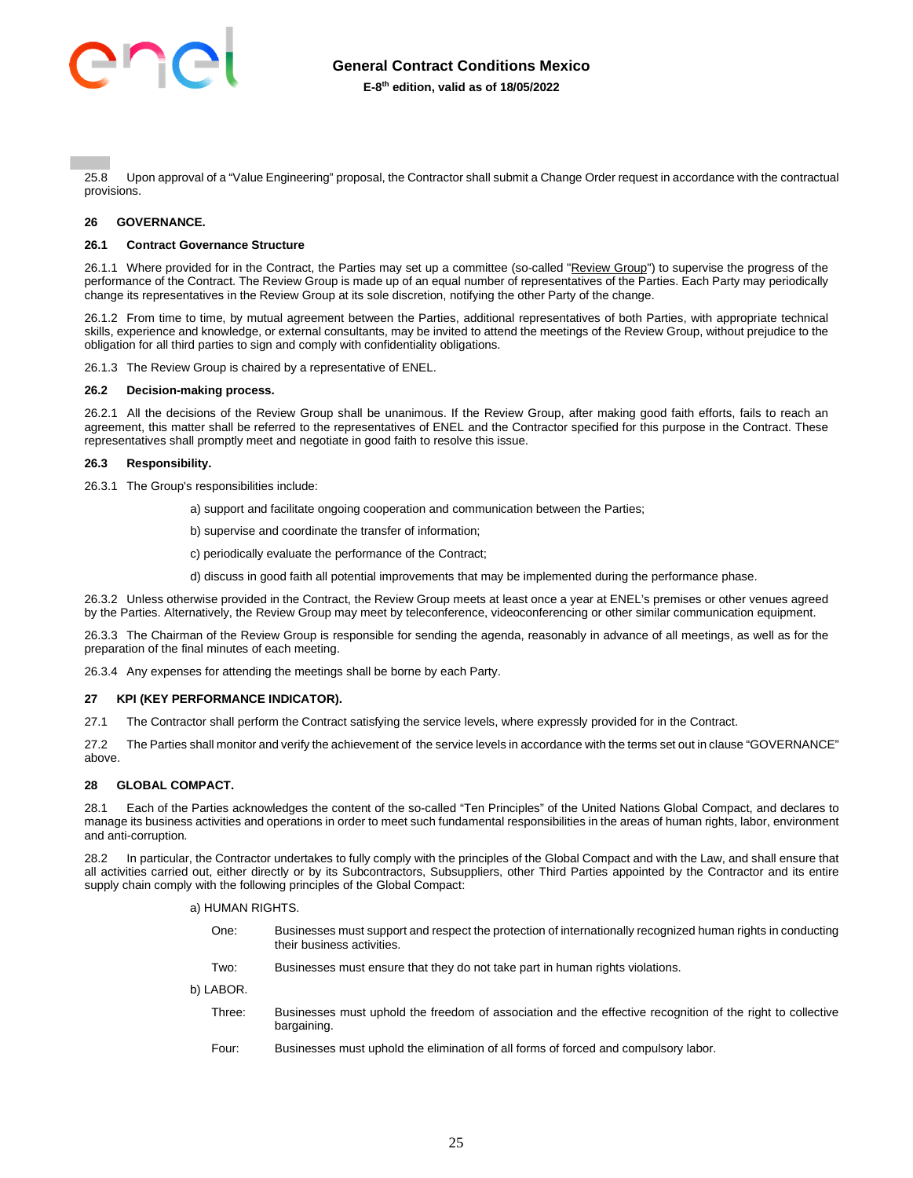

25.8 Upon approval of a "Value Engineering" proposal, the Contractor shall submit a Change Order request in accordance with the contractual provisions.

## <span id="page-24-0"></span>**26 GOVERNANCE.**

#### **26.1 Contract Governance Structure**

26.1.1 Where provided for in the Contract, the Parties may set up a committee (so-called "Review Group") to supervise the progress of the performance of the Contract. The Review Group is made up of an equal number of representatives of the Parties. Each Party may periodically change its representatives in the Review Group at its sole discretion, notifying the other Party of the change.

26.1.2 From time to time, by mutual agreement between the Parties, additional representatives of both Parties, with appropriate technical skills, experience and knowledge, or external consultants, may be invited to attend the meetings of the Review Group, without prejudice to the obligation for all third parties to sign and comply with confidentiality obligations.

26.1.3 The Review Group is chaired by a representative of ENEL.

#### **26.2 Decision-making process.**

26.2.1 All the decisions of the Review Group shall be unanimous. If the Review Group, after making good faith efforts, fails to reach an agreement, this matter shall be referred to the representatives of ENEL and the Contractor specified for this purpose in the Contract. These representatives shall promptly meet and negotiate in good faith to resolve this issue.

#### **26.3 Responsibility.**

26.3.1 The Group's responsibilities include:

- a) support and facilitate ongoing cooperation and communication between the Parties;
- b) supervise and coordinate the transfer of information;
- c) periodically evaluate the performance of the Contract;
- d) discuss in good faith all potential improvements that may be implemented during the performance phase.

26.3.2 Unless otherwise provided in the Contract, the Review Group meets at least once a year at ENEL's premises or other venues agreed by the Parties. Alternatively, the Review Group may meet by teleconference, videoconferencing or other similar communication equipment.

26.3.3 The Chairman of the Review Group is responsible for sending the agenda, reasonably in advance of all meetings, as well as for the preparation of the final minutes of each meeting.

26.3.4 Any expenses for attending the meetings shall be borne by each Party.

#### <span id="page-24-1"></span>**27 KPI (KEY PERFORMANCE INDICATOR).**

27.1 The Contractor shall perform the Contract satisfying the service levels, where expressly provided for in the Contract.

27.2 The Parties shall monitor and verify the achievement of the service levels in accordance with the terms set out in clause "GOVERNANCE" above.

## <span id="page-24-2"></span>**28 GLOBAL COMPACT.**

28.1 Each of the Parties acknowledges the content of the so-called "Ten Principles" of the United Nations Global Compact, and declares to manage its business activities and operations in order to meet such fundamental responsibilities in the areas of human rights, labor, environment and anti-corruption.

28.2 In particular, the Contractor undertakes to fully comply with the principles of the Global Compact and with the Law, and shall ensure that all activities carried out, either directly or by its Subcontractors, Subsuppliers, other Third Parties appointed by the Contractor and its entire supply chain comply with the following principles of the Global Compact:

a) HUMAN RIGHTS.

- One: Businesses must support and respect the protection of internationally recognized human rights in conducting their business activities.
- Two: Businesses must ensure that they do not take part in human rights violations.

b) LABOR.

- Three: Businesses must uphold the freedom of association and the effective recognition of the right to collective bargaining.
- Four: Businesses must uphold the elimination of all forms of forced and compulsory labor.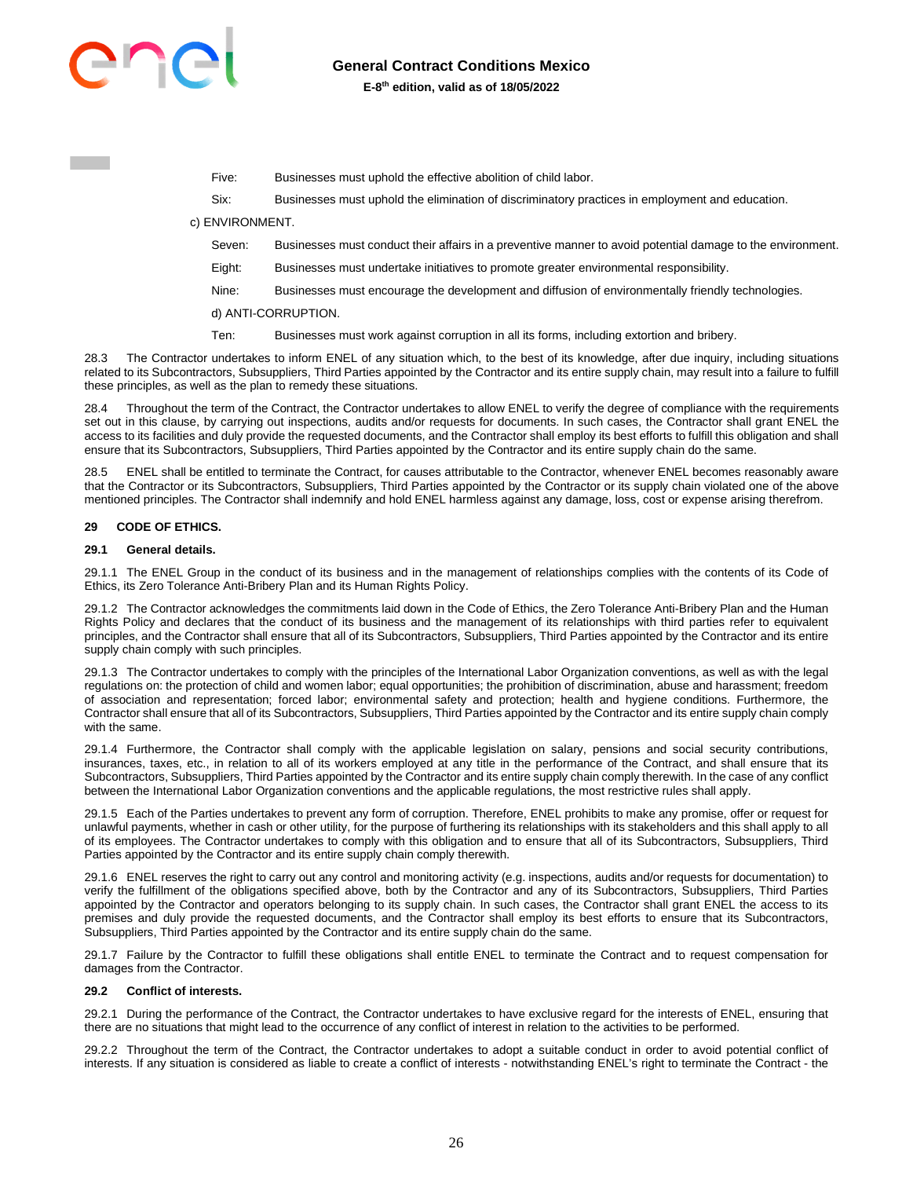

Five: Businesses must uphold the effective abolition of child labor.

Six: Businesses must uphold the elimination of discriminatory practices in employment and education.

c) ENVIRONMENT.

- Seven: Businesses must conduct their affairs in a preventive manner to avoid potential damage to the environment.
- Eight: Businesses must undertake initiatives to promote greater environmental responsibility.
- Nine: Businesses must encourage the development and diffusion of environmentally friendly technologies.
- d) ANTI-CORRUPTION.
- Ten: Businesses must work against corruption in all its forms, including extortion and bribery.

28.3 The Contractor undertakes to inform ENEL of any situation which, to the best of its knowledge, after due inquiry, including situations related to its Subcontractors, Subsuppliers, Third Parties appointed by the Contractor and its entire supply chain, may result into a failure to fulfill these principles, as well as the plan to remedy these situations.

28.4 Throughout the term of the Contract, the Contractor undertakes to allow ENEL to verify the degree of compliance with the requirements set out in this clause, by carrying out inspections, audits and/or requests for documents. In such cases, the Contractor shall grant ENEL the access to its facilities and duly provide the requested documents, and the Contractor shall employ its best efforts to fulfill this obligation and shall ensure that its Subcontractors, Subsuppliers, Third Parties appointed by the Contractor and its entire supply chain do the same.

28.5 ENEL shall be entitled to terminate the Contract, for causes attributable to the Contractor, whenever ENEL becomes reasonably aware that the Contractor or its Subcontractors, Subsuppliers, Third Parties appointed by the Contractor or its supply chain violated one of the above mentioned principles. The Contractor shall indemnify and hold ENEL harmless against any damage, loss, cost or expense arising therefrom.

#### <span id="page-25-0"></span>**29 CODE OF ETHICS.**

#### **29.1 General details.**

29.1.1 The ENEL Group in the conduct of its business and in the management of relationships complies with the contents of its Code of Ethics, its Zero Tolerance Anti-Bribery Plan and its Human Rights Policy.

29.1.2 The Contractor acknowledges the commitments laid down in the Code of Ethics, the Zero Tolerance Anti-Bribery Plan and the Human Rights Policy and declares that the conduct of its business and the management of its relationships with third parties refer to equivalent principles, and the Contractor shall ensure that all of its Subcontractors, Subsuppliers, Third Parties appointed by the Contractor and its entire supply chain comply with such principles.

29.1.3 The Contractor undertakes to comply with the principles of the International Labor Organization conventions, as well as with the legal regulations on: the protection of child and women labor; equal opportunities; the prohibition of discrimination, abuse and harassment; freedom of association and representation; forced labor; environmental safety and protection; health and hygiene conditions. Furthermore, the Contractor shall ensure that all of its Subcontractors, Subsuppliers, Third Parties appointed by the Contractor and its entire supply chain comply with the same.

29.1.4 Furthermore, the Contractor shall comply with the applicable legislation on salary, pensions and social security contributions, insurances, taxes, etc., in relation to all of its workers employed at any title in the performance of the Contract, and shall ensure that its Subcontractors, Subsuppliers, Third Parties appointed by the Contractor and its entire supply chain comply therewith. In the case of any conflict between the International Labor Organization conventions and the applicable regulations, the most restrictive rules shall apply.

29.1.5 Each of the Parties undertakes to prevent any form of corruption. Therefore, ENEL prohibits to make any promise, offer or request for unlawful payments, whether in cash or other utility, for the purpose of furthering its relationships with its stakeholders and this shall apply to all of its employees. The Contractor undertakes to comply with this obligation and to ensure that all of its Subcontractors, Subsuppliers, Third Parties appointed by the Contractor and its entire supply chain comply therewith.

29.1.6 ENEL reserves the right to carry out any control and monitoring activity (e.g. inspections, audits and/or requests for documentation) to verify the fulfillment of the obligations specified above, both by the Contractor and any of its Subcontractors, Subsuppliers, Third Parties appointed by the Contractor and operators belonging to its supply chain. In such cases, the Contractor shall grant ENEL the access to its premises and duly provide the requested documents, and the Contractor shall employ its best efforts to ensure that its Subcontractors, Subsuppliers, Third Parties appointed by the Contractor and its entire supply chain do the same.

29.1.7 Failure by the Contractor to fulfill these obligations shall entitle ENEL to terminate the Contract and to request compensation for damages from the Contractor.

#### **29.2 Conflict of interests.**

29.2.1 During the performance of the Contract, the Contractor undertakes to have exclusive regard for the interests of ENEL, ensuring that there are no situations that might lead to the occurrence of any conflict of interest in relation to the activities to be performed.

29.2.2 Throughout the term of the Contract, the Contractor undertakes to adopt a suitable conduct in order to avoid potential conflict of interests. If any situation is considered as liable to create a conflict of interests - notwithstanding ENEL's right to terminate the Contract - the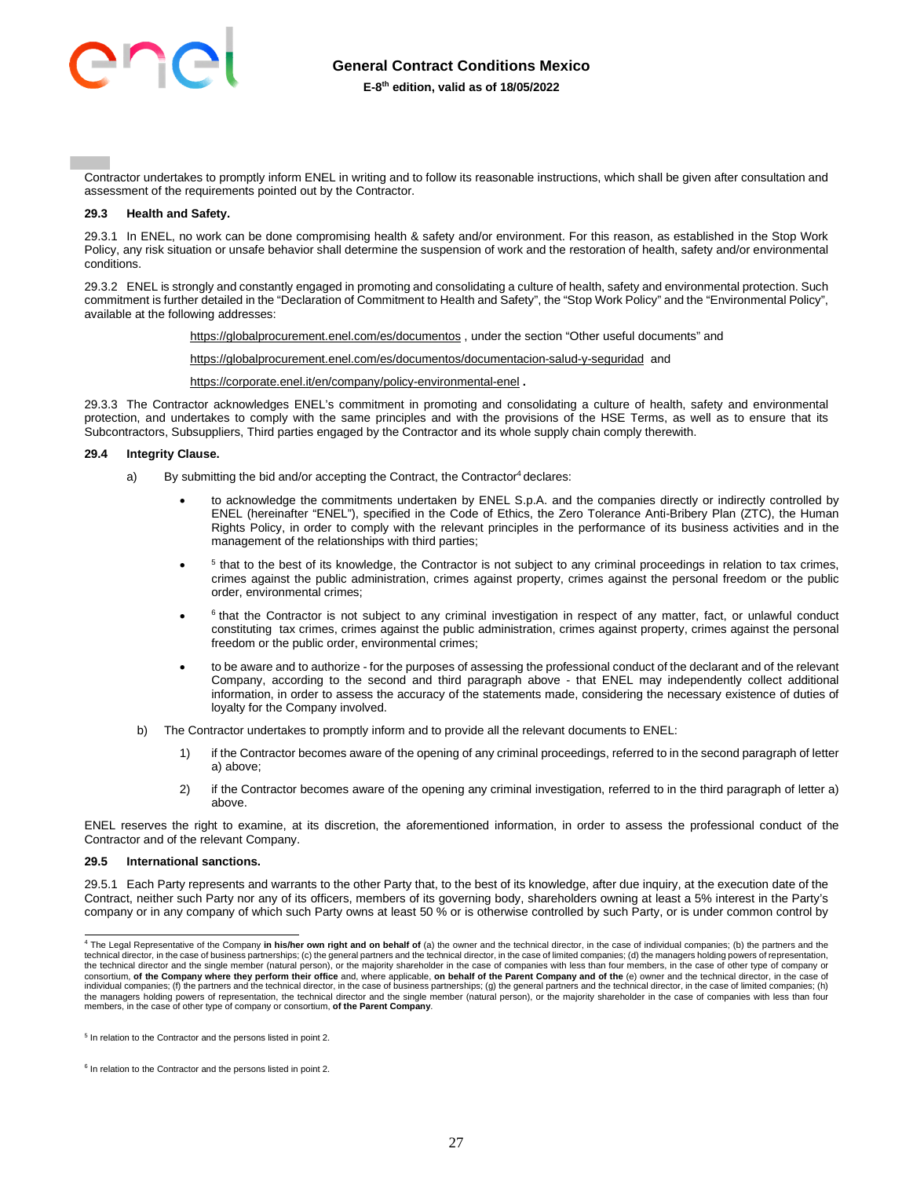

Contractor undertakes to promptly inform ENEL in writing and to follow its reasonable instructions, which shall be given after consultation and assessment of the requirements pointed out by the Contractor.

#### **29.3 Health and Safety.**

29.3.1 In ENEL, no work can be done compromising health & safety and/or environment. For this reason, as established in the Stop Work Policy, any risk situation or unsafe behavior shall determine the suspension of work and the restoration of health, safety and/or environmental conditions.

29.3.2 ENEL is strongly and constantly engaged in promoting and consolidating a culture of health, safety and environmental protection. Such commitment is further detailed in the "Declaration of Commitment to Health and Safety", the "Stop Work Policy" and the "Environmental Policy", available at the following addresses:

<https://globalprocurement.enel.com/es/documentos>, under the section "Other useful documents" and

<https://globalprocurement.enel.com/es/documentos/documentacion-salud-y-seguridad>and

<https://corporate.enel.it/en/company/policy-environmental-enel> **.** 

29.3.3 The Contractor acknowledges ENEL's commitment in promoting and consolidating a culture of health, safety and environmental protection, and undertakes to comply with the same principles and with the provisions of the HSE Terms, as well as to ensure that its Subcontractors, Subsuppliers, Third parties engaged by the Contractor and its whole supply chain comply therewith.

#### **29.4 Integrity Clause.**

- a) By submitting the bid and/or accepting the Contract, the Contractor<sup>4</sup> declares:
	- to acknowledge the commitments undertaken by ENEL S.p.A. and the companies directly or indirectly controlled by ENEL (hereinafter "ENEL"), specified in the Code of Ethics, the Zero Tolerance Anti-Bribery Plan (ZTC), the Human Rights Policy, in order to comply with the relevant principles in the performance of its business activities and in the management of the relationships with third parties;
	- $\bullet$ <sup>5</sup> that to the best of its knowledge, the Contractor is not subject to any criminal proceedings in relation to tax crimes, crimes against the public administration, crimes against property, crimes against the personal freedom or the public order, environmental crimes;
	- $\bullet$  $6$  that the Contractor is not subject to any criminal investigation in respect of any matter, fact, or unlawful conduct constituting tax crimes, crimes against the public administration, crimes against property, crimes against the personal freedom or the public order, environmental crimes;
	- to be aware and to authorize for the purposes of assessing the professional conduct of the declarant and of the relevant Company, according to the second and third paragraph above - that ENEL may independently collect additional information, in order to assess the accuracy of the statements made, considering the necessary existence of duties of loyalty for the Company involved.
	- b) The Contractor undertakes to promptly inform and to provide all the relevant documents to ENEL:
		- 1) if the Contractor becomes aware of the opening of any criminal proceedings, referred to in the second paragraph of letter a) above;
		- 2) if the Contractor becomes aware of the opening any criminal investigation, referred to in the third paragraph of letter a) above.

ENEL reserves the right to examine, at its discretion, the aforementioned information, in order to assess the professional conduct of the Contractor and of the relevant Company.

#### **29.5 International sanctions.**

29.5.1 Each Party represents and warrants to the other Party that, to the best of its knowledge, after due inquiry, at the execution date of the Contract, neither such Party nor any of its officers, members of its governing body, shareholders owning at least a 5% interest in the Party's company or in any company of which such Party owns at least 50 % or is otherwise controlled by such Party, or is under common control by

<sup>4</sup> The Legal Representative of the Company **in his/her own right and on behalf of** (a) the owner and the technical director, in the case of individual companies; (b) the partners and the technical director, in the case of business partnerships; (c) the general partners and the technical director, in the case of limited companies; (d) the managers holding powers of representation,<br>the technical director and consortium, **of the Company where they perform their office** and, where applicable, **on behalf of the Parent Company and of the** (e) owner and the technical director, in the case of imited companies; (h) the partners and t the managers holding powers of representation, the technical director and the single member (natural person), or the majority shareholder in the case of companies with less than four members, in the case of other type of company or consortium, **of the Parent Company**.

<sup>5</sup> In relation to the Contractor and the persons listed in point 2.

 $6$  In relation to the Contractor and the persons listed in point 2.